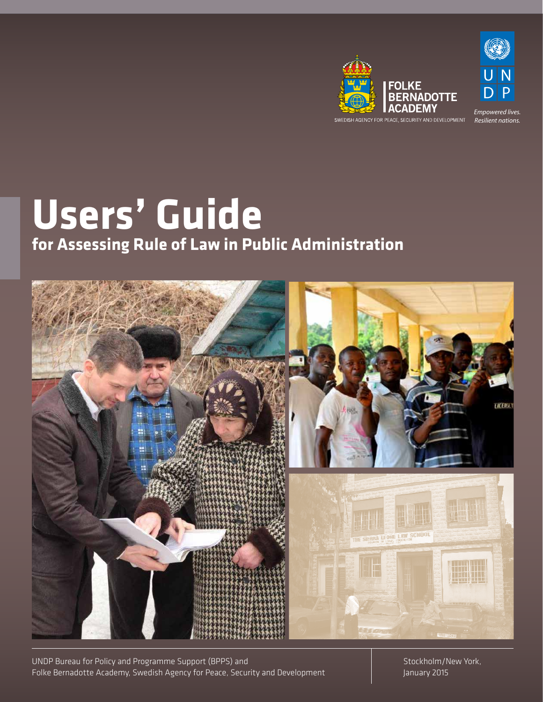



*Empowered lives. Resilient nations.* 

# **Users' Guide for Assessing Rule of Law in Public Administration**



UNDP Bureau for Policy and Programme Support (BPPS) and Folke Bernadotte Academy, Swedish Agency for Peace, Security and Development

Users' Guide for Assessing Rule of Law in Public Administration 1 January 2015 Stockholm/New York,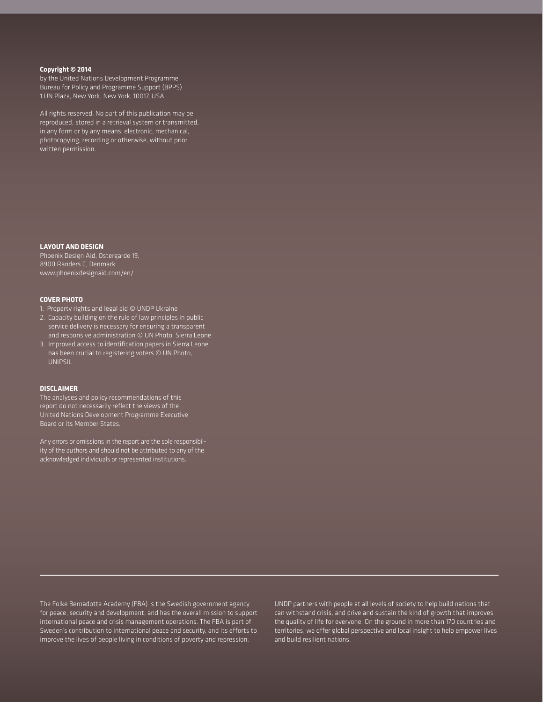#### **Copyright © 2014**

by the United Nations Development Programme Bureau for Policy and Programme Support (BPPS) 1 UN Plaza, New York, New York, 10017, USA

All rights reserved. No part of this publication may be reproduced, stored in a retrieval system or transmitted, in any form or by any means, electronic, mechanical, photocopying, recording or otherwise, without prior written permission.

#### **LAYOUT AND DESIGN**

Phoenix Design Aid, Ostergarde 19, 8900 Randers C, Denmark www.phoenixdesignaid.com/en/

#### **COVER PHOTO**

- 1. Property rights and legal aid © UNDP Ukraine
- 2. Capacity building on the rule of law principles in public service delivery is necessary for ensuring a transparent and responsive administration © UN Photo, Sierra Leone
- 3. Improved access to identification papers in Sierra Leone has been crucial to registering voters © UN Photo, UNIPSIL

#### **DISCLAIMER**

The analyses and policy recommendations of this report do not necessarily reflect the views of the United Nations Development Programme Executive Board or its Member States.

Any errors or omissions in the report are the sole responsibility of the authors and should not be attributed to any of the acknowledged individuals or represented institutions.

The Folke Bernadotte Academy (FBA) is the Swedish government agency for peace, security and development, and has the overall mission to support international peace and crisis management operations. The FBA is part of Sweden's contribution to international peace and security, and its efforts to improve the lives of people living in conditions of poverty and repression.

UNDP partners with people at all levels of society to help build nations that can withstand crisis, and drive and sustain the kind of growth that improves the quality of life for everyone. On the ground in more than 170 countries and territories, we offer global perspective and local insight to help empower lives and build resilient nations.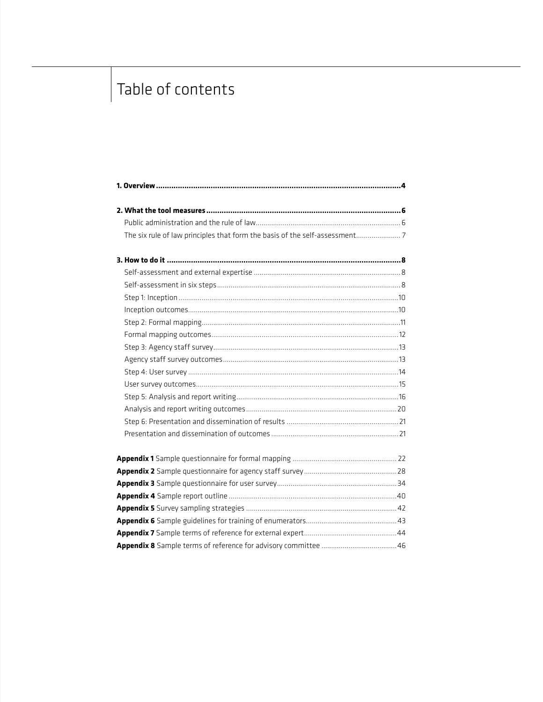# Table of contents

| The six rule of law principles that form the basis of the self-assessment |  |
|---------------------------------------------------------------------------|--|
|                                                                           |  |
|                                                                           |  |
|                                                                           |  |
|                                                                           |  |
|                                                                           |  |
|                                                                           |  |
|                                                                           |  |
|                                                                           |  |
|                                                                           |  |
|                                                                           |  |
|                                                                           |  |
|                                                                           |  |
|                                                                           |  |
|                                                                           |  |
|                                                                           |  |
|                                                                           |  |
|                                                                           |  |
|                                                                           |  |
|                                                                           |  |
|                                                                           |  |
|                                                                           |  |
|                                                                           |  |
|                                                                           |  |
|                                                                           |  |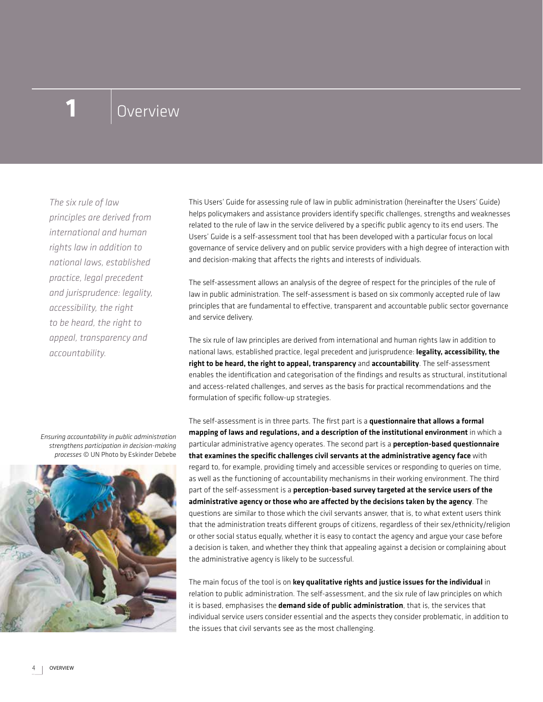### 1 | Overview

*The six rule of law principles are derived from international and human rights law in addition to national laws, established practice, legal precedent and jurisprudence: legality, accessibility, the right to be heard, the right to appeal, transparency and accountability.* 

This Users' Guide for assessing rule of law in public administration (hereinafter the Users' Guide) helps policymakers and assistance providers identify specific challenges, strengths and weaknesses related to the rule of law in the service delivered by a specific public agency to its end users. The Users' Guide is a self-assessment tool that has been developed with a particular focus on local governance of service delivery and on public service providers with a high degree of interaction with and decision-making that affects the rights and interests of individuals.

The self-assessment allows an analysis of the degree of respect for the principles of the rule of law in public administration. The self-assessment is based on six commonly accepted rule of law principles that are fundamental to effective, transparent and accountable public sector governance and service delivery.

The six rule of law principles are derived from international and human rights law in addition to national laws, established practice, legal precedent and jurisprudence: legality, accessibility, the right to be heard, the right to appeal, transparency and accountability. The self-assessment enables the identification and categorisation of the findings and results as structural, institutional and access-related challenges, and serves as the basis for practical recommendations and the formulation of specific follow-up strategies.

The self-assessment is in three parts. The first part is a questionnaire that allows a formal mapping of laws and regulations, and a description of the institutional environment in which a particular administrative agency operates. The second part is a **perception-based questionnaire** that examines the specific challenges civil servants at the administrative agency face with regard to, for example, providing timely and accessible services or responding to queries on time, as well as the functioning of accountability mechanisms in their working environment. The third part of the self-assessment is a perception-based survey targeted at the service users of the administrative agency or those who are affected by the decisions taken by the agency. The questions are similar to those which the civil servants answer, that is, to what extent users think that the administration treats different groups of citizens, regardless of their sex/ethnicity/religion or other social status equally, whether it is easy to contact the agency and argue your case before a decision is taken, and whether they think that appealing against a decision or complaining about the administrative agency is likely to be successful.

The main focus of the tool is on key qualitative rights and justice issues for the individual in relation to public administration. The self-assessment, and the six rule of law principles on which it is based, emphasises the demand side of public administration, that is, the services that individual service users consider essential and the aspects they consider problematic, in addition to the issues that civil servants see as the most challenging.

*Ensuring accountability in public administration strengthens participation in decision-making processes* © UN Photo by Eskinder Debebe

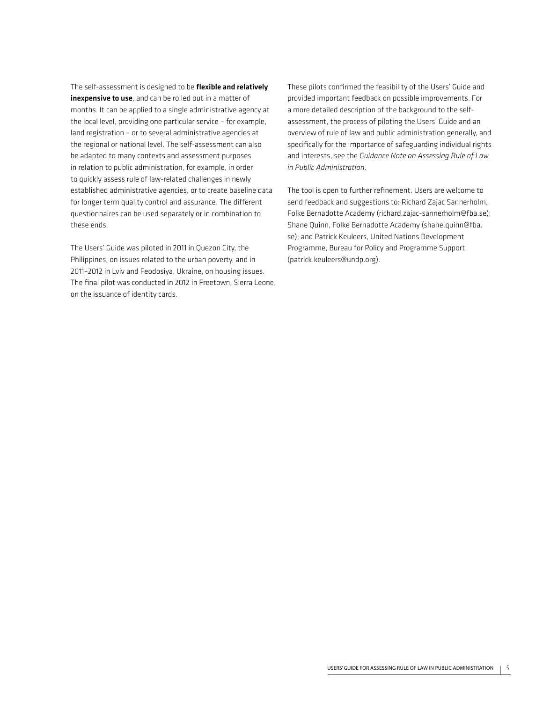The self-assessment is designed to be flexible and relatively inexpensive to use, and can be rolled out in a matter of months. It can be applied to a single administrative agency at the local level, providing one particular service – for example, land registration – or to several administrative agencies at the regional or national level. The self-assessment can also be adapted to many contexts and assessment purposes in relation to public administration, for example, in order to quickly assess rule of law-related challenges in newly established administrative agencies, or to create baseline data for longer term quality control and assurance. The different questionnaires can be used separately or in combination to these ends.

The Users' Guide was piloted in 2011 in Quezon City, the Philippines, on issues related to the urban poverty, and in 2011–2012 in Lviv and Feodosiya, Ukraine, on housing issues. The final pilot was conducted in 2012 in Freetown, Sierra Leone, on the issuance of identity cards.

These pilots confirmed the feasibility of the Users' Guide and provided important feedback on possible improvements. For a more detailed description of the background to the selfassessment, the process of piloting the Users' Guide and an overview of rule of law and public administration generally, and specifically for the importance of safeguarding individual rights and interests, see the *Guidance Note on Assessing Rule of Law in Public Administration*.

The tool is open to further refinement. Users are welcome to send feedback and suggestions to: Richard Zajac Sannerholm, Folke Bernadotte Academy (richard.zajac-sannerholm@fba.se); Shane Quinn, Folke Bernadotte Academy (shane.quinn@fba. se); and Patrick Keuleers, United Nations Development Programme, Bureau for Policy and Programme Support (patrick.keuleers@undp.org).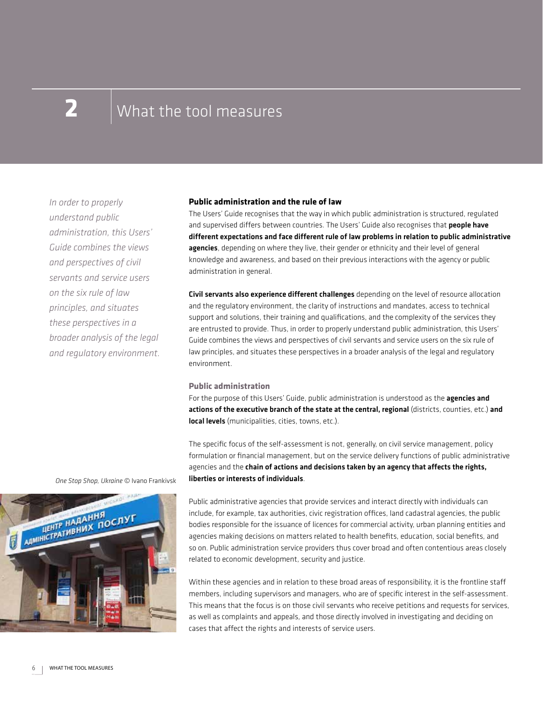# **2** What the tool measures

*In order to properly understand public administration, this Users' Guide combines the views and perspectives of civil servants and service users on the six rule of law principles, and situates these perspectives in a broader analysis of the legal and regulatory environment.*

#### **Public administration and the rule of law**

The Users' Guide recognises that the way in which public administration is structured, regulated and supervised differs between countries. The Users' Guide also recognises that people have different expectations and face different rule of law problems in relation to public administrative agencies, depending on where they live, their gender or ethnicity and their level of general knowledge and awareness, and based on their previous interactions with the agency or public administration in general.

Civil servants also experience different challenges depending on the level of resource allocation and the regulatory environment, the clarity of instructions and mandates, access to technical support and solutions, their training and qualifications, and the complexity of the services they are entrusted to provide. Thus, in order to properly understand public administration, this Users' Guide combines the views and perspectives of civil servants and service users on the six rule of law principles, and situates these perspectives in a broader analysis of the legal and regulatory environment.

#### **Public administration**

For the purpose of this Users' Guide, public administration is understood as the agencies and actions of the executive branch of the state at the central, regional (districts, counties, etc.) and **local levels** (municipalities, cities, towns, etc.).

The specific focus of the self-assessment is not, generally, on civil service management, policy formulation or financial management, but on the service delivery functions of public administrative agencies and the chain of actions and decisions taken by an agency that affects the rights, liberties or interests of individuals.



Public administrative agencies that provide services and interact directly with individuals can include, for example, tax authorities, civic registration offices, land cadastral agencies, the public bodies responsible for the issuance of licences for commercial activity, urban planning entities and agencies making decisions on matters related to health benefits, education, social benefits, and so on. Public administration service providers thus cover broad and often contentious areas closely related to economic development, security and justice.

Within these agencies and in relation to these broad areas of responsibility, it is the frontline staff members, including supervisors and managers, who are of specific interest in the self-assessment. This means that the focus is on those civil servants who receive petitions and requests for services, as well as complaints and appeals, and those directly involved in investigating and deciding on cases that affect the rights and interests of service users.

*One Stop Shop, Ukraine* © Ivano Frankivsk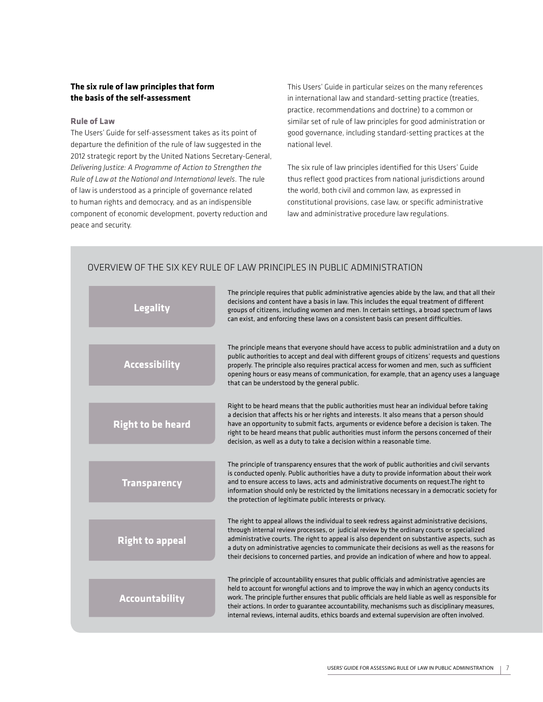#### **The six rule of law principles that form the basis of the self-assessment**

#### **Rule of Law**

The Users' Guide for self-assessment takes as its point of departure the definition of the rule of law suggested in the 2012 strategic report by the United Nations Secretary-General, *Delivering Justice: A Programme of Action to Strengthen the Rule of Law at the National and International levels*. The rule of law is understood as a principle of governance related to human rights and democracy, and as an indispensible component of economic development, poverty reduction and peace and security.

This Users' Guide in particular seizes on the many references in international law and standard-setting practice (treaties, practice, recommendations and doctrine) to a common or similar set of rule of law principles for good administration or good governance, including standard-setting practices at the national level.

The six rule of law principles identified for this Users' Guide thus reflect good practices from national jurisdictions around the world, both civil and common law, as expressed in constitutional provisions, case law, or specific administrative law and administrative procedure law regulations.

| <b>Legality</b>          | The principle requires that public administrative agencies abide by the law, and that all their<br>decisions and content have a basis in law. This includes the equal treatment of different<br>groups of citizens, including women and men. In certain settings, a broad spectrum of laws<br>can exist, and enforcing these laws on a consistent basis can present difficulties.                                                                                                                       |
|--------------------------|---------------------------------------------------------------------------------------------------------------------------------------------------------------------------------------------------------------------------------------------------------------------------------------------------------------------------------------------------------------------------------------------------------------------------------------------------------------------------------------------------------|
| <b>Accessibility</b>     | The principle means that everyone should have access to public administratiion and a duty on<br>public authorities to accept and deal with different groups of citizens' requests and questions<br>properly. The principle also requires practical access for women and men, such as sufficient<br>opening hours or easy means of communication, for example, that an agency uses a language<br>that can be understood by the general public.                                                           |
| <b>Right to be heard</b> | Right to be heard means that the public authorities must hear an individual before taking<br>a decision that affects his or her rights and interests. It also means that a person should<br>have an opportunity to submit facts, arguments or evidence before a decision is taken. The<br>right to be heard means that public authorities must inform the persons concerned of their<br>decision, as well as a duty to take a decision within a reasonable time.                                        |
| <b>Transparency</b>      | The principle of transparency ensures that the work of public authorities and civil servants<br>is conducted openly. Public authorities have a duty to provide information about their work<br>and to ensure access to laws, acts and administrative documents on request. The right to<br>information should only be restricted by the limitations necessary in a democratic society for<br>the protection of legitimate public interests or privacy.                                                  |
| <b>Right to appeal</b>   | The right to appeal allows the individual to seek redress against administrative decisions,<br>through internal review processes, or judicial review by the ordinary courts or specialized<br>administrative courts. The right to appeal is also dependent on substantive aspects, such as<br>a duty on administrative agencies to communicate their decisions as well as the reasons for<br>their decisions to concerned parties, and provide an indication of where and how to appeal.                |
| <b>Accountability</b>    | The principle of accountability ensures that public officials and administrative agencies are<br>held to account for wrongful actions and to improve the way in which an agency conducts its<br>work. The principle further ensures that public officials are held liable as well as responsible for<br>their actions. In order to guarantee accountability, mechanisms such as disciplinary measures,<br>internal reviews, internal audits, ethics boards and external supervision are often involved. |

#### Overview of the six key rule of law principles in public administration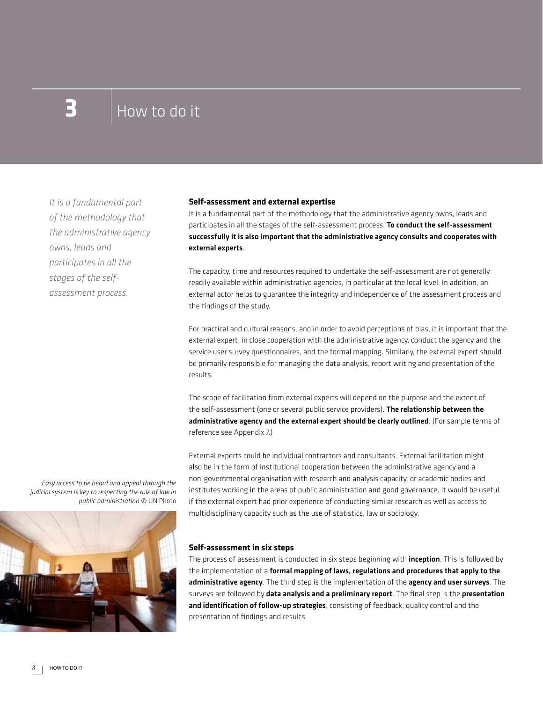## $\mathbf{3}$  | How to do it

*It is a fundamental part of the methodology that the administrative agency owns, leads and participates in all the stages of the selfassessment process.*

#### **Self-assessment and external expertise**

It is a fundamental part of the methodology that the administrative agency owns, leads and participates in all the stages of the self-assessment process. To conduct the self-assessment successfully it is also important that the administrative agency consults and cooperates with external experts.

The capacity, time and resources required to undertake the self-assessment are not generally readily available within administrative agencies, in particular at the local level. In addition, an external actor helps to guarantee the integrity and independence of the assessment process and the findings of the study.

For practical and cultural reasons, and in order to avoid perceptions of bias, it is important that the external expert, in close cooperation with the administrative agency, conduct the agency and the service user survey questionnaires, and the formal mapping. Similarly, the external expert should be primarily responsible for managing the data analysis, report writing and presentation of the results.

The scope of facilitation from external experts will depend on the purpose and the extent of the self-assessment (one or several public service providers). The relationship between the administrative agency and the external expert should be clearly outlined. (For sample terms of reference see Appendix 7.)

External experts could be individual contractors and consultants. External facilitation might also be in the form of institutional cooperation between the administrative agency and a non-governmental organisation with research and analysis capacity, or academic bodies and institutes working in the areas of public administration and good governance. It would be useful if the external expert had prior experience of conducting similar research as well as access to multidisciplinary capacity such as the use of statistics, law or sociology.

#### **Self-assessment in six steps**

The process of assessment is conducted in six steps beginning with *inception*. This is followed by the implementation of a formal mapping of laws, regulations and procedures that apply to the administrative agency. The third step is the implementation of the agency and user surveys. The surveys are followed by data analysis and a preliminary report. The final step is the presentation and identification of follow-up strategies, consisting of feedback, quality control and the presentation of findings and results.

*Easy access to be heard and appeal through the judicial system is key to respecting the rule of law in public administration* © UN Photo

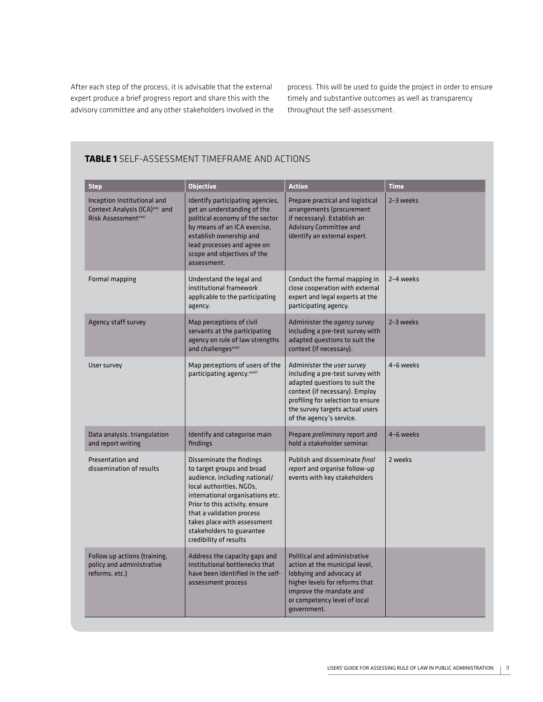After each step of the process, it is advisable that the external expert produce a brief progress report and share this with the advisory committee and any other stakeholders involved in the process. This will be used to guide the project in order to ensure timely and substantive outcomes as well as transparency throughout the self-assessment.

#### **Step Objective Action Time** Inception Institutional and Context Analysis (ICA)<sup>xxx</sup> and Risk Assessment<sup>xxxi</sup> Identify participating agencies, get an understanding of the political economy of the sector by means of an ICA exercise, establish ownership and lead processes and agree on scope and objectives of the assessment. Prepare practical and logistical arrangements (procurement if necessary). Establish an Advisory Committee and identify an external expert. 2–3 weeks Formal mapping **Example 2** Understand the legal and institutional framework applicable to the participating agency. Conduct the formal mapping in close cooperation with external expert and legal experts at the participating agency. 2–4 weeks Agency staff survey Map perceptions of civil servants at the participating agency on rule of law strengths and challenges<sup>xxxii</sup> Administer the *agency survey* including a pre-test survey with adapted questions to suit the context (if necessary). 2–3 weeks User survey Map perceptions of users of the participating agency.<sup>xxxiii</sup> Administer the *user survey* including a pre-test survey with adapted questions to suit the context (if necessary). Employ profiling for selection to ensure the survey targets actual users of the agency's service. 4–6 weeks Data analysis. triangulation and report writing Identify and categorise main findings Prepare *preliminary* report and hold a stakeholder seminar. 4–6 weeks Presentation and dissemination of results Disseminate the findings to target groups and broad audience, including national/ local authorities, NGOs, international organisations etc. Prior to this activity, ensure that a validation process takes place with assessment stakeholders to guarantee credibility of results Publish and disseminate *final report* and organise follow-up events with key stakeholders 2 weeks Follow up actions (training, policy and administrative reforms, etc.) Address the capacity gaps and institutional bottlenecks that have been identified in the selfassessment process Political and administrative action at the municipal level, lobbying and advocacy at higher levels for reforms that improve the mandate and or competency level of local government.

#### **TABLE 1** SELF-ASSESSMENT TIMEFRAME AND ACTIONS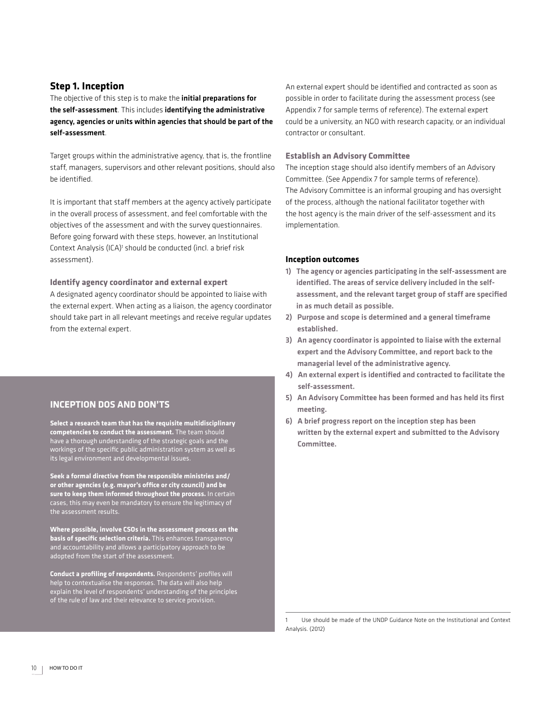#### **Step 1. Inception**

The objective of this step is to make the *initial preparations for* the self-assessment. This includes identifying the administrative agency, agencies or units within agencies that should be part of the self-assessment.

Target groups within the administrative agency, that is, the frontline staff, managers, supervisors and other relevant positions, should also be identified.

It is important that staff members at the agency actively participate in the overall process of assessment, and feel comfortable with the objectives of the assessment and with the survey questionnaires. Before going forward with these steps, however, an Institutional Context Analysis (ICA)<sup>1</sup> should be conducted (incl. a brief risk assessment).

#### **Identify agency coordinator and external expert**

A designated agency coordinator should be appointed to liaise with the external expert. When acting as a liaison, the agency coordinator should take part in all relevant meetings and receive regular updates from the external expert.

#### **Inception dos and don'ts**

**Select a research team that has the requisite multidisciplinary competencies to conduct the assessment.** The team should have a thorough understanding of the strategic goals and the workings of the specific public administration system as well as its legal environment and developmental issues.

**Seek a formal directive from the responsible ministries and/ or other agencies (e.g. mayor's office or city council) and be sure to keep them informed throughout the process.** In certain cases, this may even be mandatory to ensure the legitimacy of the assessment results.

**Where possible, involve CSOs in the assessment process on the basis of specific selection criteria.** This enhances transparency and accountability and allows a participatory approach to be adopted from the start of the assessment.

**Conduct a profiling of respondents.** Respondents' profiles will help to contextualise the responses. The data will also help explain the level of respondents' understanding of the principles of the rule of law and their relevance to service provision.

An external expert should be identified and contracted as soon as possible in order to facilitate during the assessment process (see Appendix 7 for sample terms of reference). The external expert could be a university, an NGO with research capacity, or an individual contractor or consultant.

#### **Establish an Advisory Committee**

The inception stage should also identify members of an Advisory Committee. (See Appendix 7 for sample terms of reference). The Advisory Committee is an informal grouping and has oversight of the process, although the national facilitator together with the host agency is the main driver of the self-assessment and its implementation.

#### **Inception outcomes**

- 1) The agency or agencies participating in the self-assessment are identified. The areas of service delivery included in the selfassessment, and the relevant target group of staff are specified in as much detail as possible.
- 2) Purpose and scope is determined and a general timeframe established.
- 3) An agency coordinator is appointed to liaise with the external expert and the Advisory Committee, and report back to the managerial level of the administrative agency.
- 4) An external expert is identified and contracted to facilitate the self-assessment.
- 5) An Advisory Committee has been formed and has held its first meeting.
- 6) A brief progress report on the inception step has been written by the external expert and submitted to the Advisory Committee.

1 Use should be made of the UNDP Guidance Note on the Institutional and Context Analysis. (2012)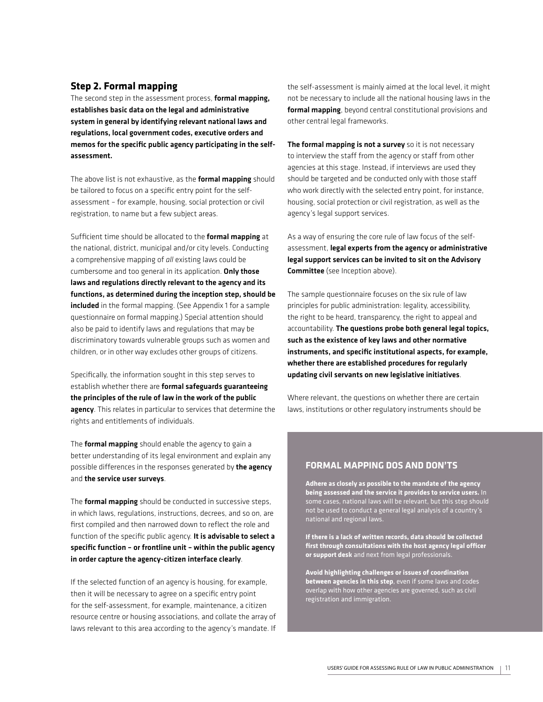#### **Step 2. Formal mapping**

The second step in the assessment process, formal mapping, establishes basic data on the legal and administrative system in general by identifying relevant national laws and regulations, local government codes, executive orders and memos for the specific public agency participating in the selfassessment.

The above list is not exhaustive, as the formal mapping should be tailored to focus on a specific entry point for the selfassessment – for example, housing, social protection or civil registration, to name but a few subject areas.

Sufficient time should be allocated to the formal mapping at the national, district, municipal and/or city levels. Conducting a comprehensive mapping of *all* existing laws could be cumbersome and too general in its application. Only those laws and regulations directly relevant to the agency and its functions, as determined during the inception step, should be included in the formal mapping. (See Appendix 1 for a sample questionnaire on formal mapping.) Special attention should also be paid to identify laws and regulations that may be discriminatory towards vulnerable groups such as women and children, or in other way excludes other groups of citizens.

Specifically, the information sought in this step serves to establish whether there are formal safeguards guaranteeing the principles of the rule of law in the work of the public agency. This relates in particular to services that determine the rights and entitlements of individuals.

The **formal mapping** should enable the agency to gain a better understanding of its legal environment and explain any possible differences in the responses generated by the agency and the service user surveys.

The **formal mapping** should be conducted in successive steps, in which laws, regulations, instructions, decrees, and so on, are first compiled and then narrowed down to reflect the role and function of the specific public agency. It is advisable to select a specific function – or frontline unit – within the public agency in order capture the agency-citizen interface clearly.

If the selected function of an agency is housing, for example, then it will be necessary to agree on a specific entry point for the self-assessment, for example, maintenance, a citizen resource centre or housing associations, and collate the array of laws relevant to this area according to the agency's mandate. If the self-assessment is mainly aimed at the local level, it might not be necessary to include all the national housing laws in the formal mapping, beyond central constitutional provisions and other central legal frameworks.

The formal mapping is not a survey so it is not necessary to interview the staff from the agency or staff from other agencies at this stage. Instead, if interviews are used they should be targeted and be conducted only with those staff who work directly with the selected entry point, for instance, housing, social protection or civil registration, as well as the agency's legal support services.

As a way of ensuring the core rule of law focus of the selfassessment, legal experts from the agency or administrative legal support services can be invited to sit on the Advisory **Committee** (see Inception above).

The sample questionnaire focuses on the six rule of law principles for public administration: legality, accessibility, the right to be heard, transparency, the right to appeal and accountability. The questions probe both general legal topics, such as the existence of key laws and other normative instruments, and specific institutional aspects, for example, whether there are established procedures for regularly updating civil servants on new legislative initiatives.

Where relevant, the questions on whether there are certain laws, institutions or other regulatory instruments should be

#### **Formal mapping dos and don'ts**

**Adhere as closely as possible to the mandate of the agency being assessed and the service it provides to service users.** In some cases, national laws will be relevant, but this step should not be used to conduct a general legal analysis of a country's national and regional laws.

**If there is a lack of written records, data should be collected first through consultations with the host agency legal officer or support desk** and next from legal professionals.

**Avoid highlighting challenges or issues of coordination between agencies in this step**, even if some laws and codes overlap with how other agencies are governed, such as civil registration and immigration.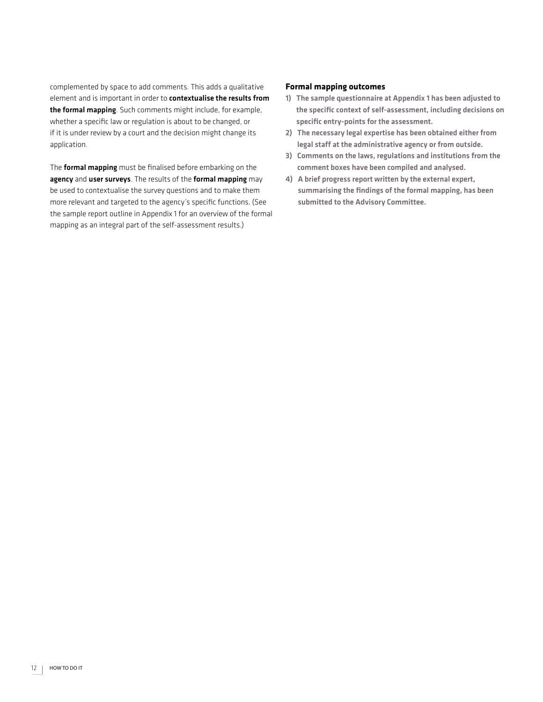complemented by space to add comments. This adds a qualitative element and is important in order to contextualise the results from the formal mapping. Such comments might include, for example, whether a specific law or regulation is about to be changed, or if it is under review by a court and the decision might change its application.

The **formal mapping** must be finalised before embarking on the agency and user surveys. The results of the formal mapping may be used to contextualise the survey questions and to make them more relevant and targeted to the agency's specific functions. (See the sample report outline in Appendix 1 for an overview of the formal mapping as an integral part of the self-assessment results.)

#### **Formal mapping outcomes**

- 1) The sample questionnaire at Appendix 1 has been adjusted to the specific context of self-assessment, including decisions on specific entry-points for the assessment.
- 2) The necessary legal expertise has been obtained either from legal staff at the administrative agency or from outside.
- 3) Comments on the laws, regulations and institutions from the comment boxes have been compiled and analysed.
- 4) A brief progress report written by the external expert, summarising the findings of the formal mapping, has been submitted to the Advisory Committee.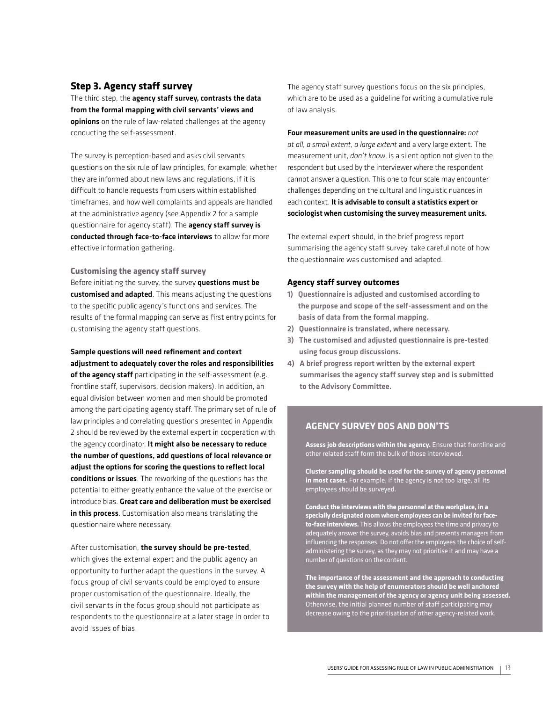#### **Step 3. Agency staff survey**

The third step, the agency staff survey, contrasts the data from the formal mapping with civil servants' views and opinions on the rule of law-related challenges at the agency conducting the self-assessment.

The survey is perception-based and asks civil servants questions on the six rule of law principles, for example, whether they are informed about new laws and regulations, if it is difficult to handle requests from users within established timeframes, and how well complaints and appeals are handled at the administrative agency (see Appendix 2 for a sample questionnaire for agency staff). The agency staff survey is conducted through face-to-face interviews to allow for more effective information gathering.

**Customising the agency staff survey** Before initiating the survey, the survey questions must be customised and adapted. This means adjusting the questions to the specific public agency's functions and services. The results of the formal mapping can serve as first entry points for customising the agency staff questions.

Sample questions will need refinement and context adjustment to adequately cover the roles and responsibilities of the agency staff participating in the self-assessment (e.g. frontline staff, supervisors, decision makers). In addition, an equal division between women and men should be promoted among the participating agency staff. The primary set of rule of law principles and correlating questions presented in Appendix 2 should be reviewed by the external expert in cooperation with the agency coordinator. It might also be necessary to reduce the number of questions, add questions of local relevance or adjust the options for scoring the questions to reflect local conditions or issues. The reworking of the questions has the potential to either greatly enhance the value of the exercise or introduce bias. Great care and deliberation must be exercised in this process. Customisation also means translating the questionnaire where necessary.

After customisation, the survey should be pre-tested, which gives the external expert and the public agency an opportunity to further adapt the questions in the survey. A focus group of civil servants could be employed to ensure proper customisation of the questionnaire. Ideally, the civil servants in the focus group should not participate as respondents to the questionnaire at a later stage in order to avoid issues of bias.

The agency staff survey questions focus on the six principles, which are to be used as a guideline for writing a cumulative rule of law analysis.

Four measurement units are used in the questionnaire: *not at all, a small extent, a large extent* and a very large extent. The measurement unit, *don't know*, is a silent option not given to the respondent but used by the interviewer where the respondent cannot answer a question. This one to four scale may encounter challenges depending on the cultural and linguistic nuances in each context. It is advisable to consult a statistics expert or sociologist when customising the survey measurement units.

The external expert should, in the brief progress report summarising the agency staff survey, take careful note of how the questionnaire was customised and adapted.

#### **Agency staff survey outcomes**

- 1) Questionnaire is adjusted and customised according to the purpose and scope of the self-assessment and on the basis of data from the formal mapping.
- 2) Questionnaire is translated, where necessary.
- 3) The customised and adjusted questionnaire is pre-tested using focus group discussions.
- 4) A brief progress report written by the external expert summarises the agency staff survey step and is submitted to the Advisory Committee.

#### **Agency survey dos and don'ts**

**Assess job descriptions within the agency.** Ensure that frontline and other related staff form the bulk of those interviewed.

**Cluster sampling should be used for the survey of agency personnel in most cases.** For example, if the agency is not too large, all its employees should be surveyed.

**Conduct the interviews with the personnel at the workplace, in a specially designated room where employees can be invited for faceto-face interviews.** This allows the employees the time and privacy to adequately answer the survey, avoids bias and prevents managers from influencing the responses. Do not offer the employees the choice of selfadministering the survey, as they may not prioritise it and may have a number of questions on the content.

**The importance of the assessment and the approach to conducting the survey with the help of enumerators should be well anchored within the management of the agency or agency unit being assessed.** Otherwise, the initial planned number of staff participating may decrease owing to the prioritisation of other agency-related work.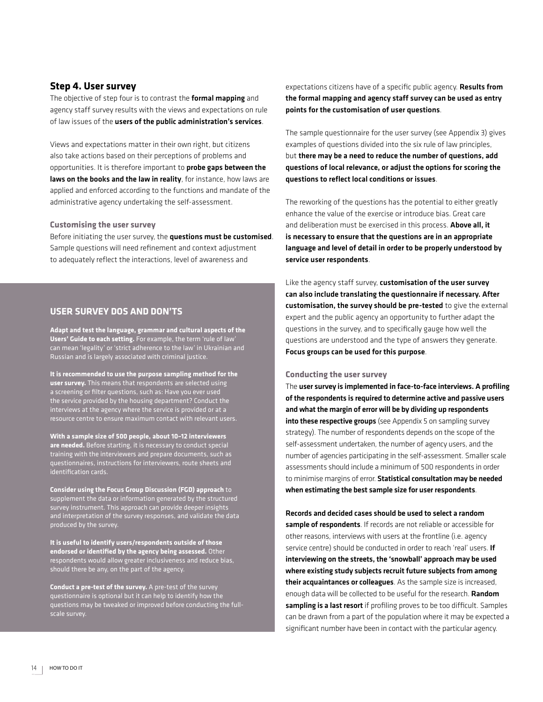#### **Step 4. User survey**

The objective of step four is to contrast the **formal mapping** and agency staff survey results with the views and expectations on rule of law issues of the users of the public administration's services.

Views and expectations matter in their own right, but citizens also take actions based on their perceptions of problems and opportunities. It is therefore important to probe gaps between the laws on the books and the law in reality, for instance, how laws are applied and enforced according to the functions and mandate of the administrative agency undertaking the self-assessment.

#### **Customising the user survey**

Before initiating the user survey, the questions must be customised. Sample questions will need refinement and context adjustment to adequately reflect the interactions, level of awareness and

#### **User survey dos and don'ts**

**Adapt and test the language, grammar and cultural aspects of the Users' Guide to each setting.** For example, the term 'rule of law' can mean 'legality' or 'strict adherence to the law' in Ukrainian and Russian and is largely associated with criminal justice.

**It is recommended to use the purpose sampling method for the user survey.** This means that respondents are selected using a screening or filter questions, such as: Have you ever used the service provided by the housing department? Conduct the interviews at the agency where the service is provided or at a resource centre to ensure maximum contact with relevant users.

**With a sample size of 500 people, about 10–12 interviewers are needed.** Before starting, it is necessary to conduct special training with the interviewers and prepare documents, such as questionnaires, instructions for interviewers, route sheets and identification cards.

**Consider using the Focus Group Discussion (FGD) approach** to supplement the data or information generated by the structured survey instrument. This approach can provide deeper insights and interpretation of the survey responses, and validate the data produced by the survey.

**It is useful to identify users/respondents outside of those endorsed or identified by the agency being assessed.** Other respondents would allow greater inclusiveness and reduce bias, should there be any, on the part of the agency.

**Conduct a pre-test of the survey.** A pre-test of the survey questionnaire is optional but it can help to identify how the questions may be tweaked or improved before conducting the fullscale survey.

expectations citizens have of a specific public agency. Results from the formal mapping and agency staff survey can be used as entry points for the customisation of user questions.

The sample questionnaire for the user survey (see Appendix 3) gives examples of questions divided into the six rule of law principles, but there may be a need to reduce the number of questions, add questions of local relevance, or adjust the options for scoring the questions to reflect local conditions or issues.

The reworking of the questions has the potential to either greatly enhance the value of the exercise or introduce bias. Great care and deliberation must be exercised in this process. Above all, it is necessary to ensure that the questions are in an appropriate language and level of detail in order to be properly understood by service user respondents.

Like the agency staff survey, customisation of the user survey can also include translating the questionnaire if necessary. After customisation, the survey should be pre-tested to give the external expert and the public agency an opportunity to further adapt the questions in the survey, and to specifically gauge how well the questions are understood and the type of answers they generate. Focus groups can be used for this purpose.

#### **Conducting the user survey**

The user survey is implemented in face-to-face interviews. A profiling of the respondents is required to determine active and passive users and what the margin of error will be by dividing up respondents into these respective groups (see Appendix 5 on sampling survey strategy). The number of respondents depends on the scope of the self-assessment undertaken, the number of agency users, and the number of agencies participating in the self-assessment. Smaller scale assessments should include a minimum of 500 respondents in order to minimise margins of error. Statistical consultation may be needed when estimating the best sample size for user respondents.

Records and decided cases should be used to select a random sample of respondents. If records are not reliable or accessible for other reasons, interviews with users at the frontline (i.e. agency service centre) should be conducted in order to reach 'real' users. If interviewing on the streets, the 'snowball' approach may be used where existing study subjects recruit future subjects from among their acquaintances or colleagues. As the sample size is increased, enough data will be collected to be useful for the research. Random sampling is a last resort if profiling proves to be too difficult. Samples can be drawn from a part of the population where it may be expected a significant number have been in contact with the particular agency.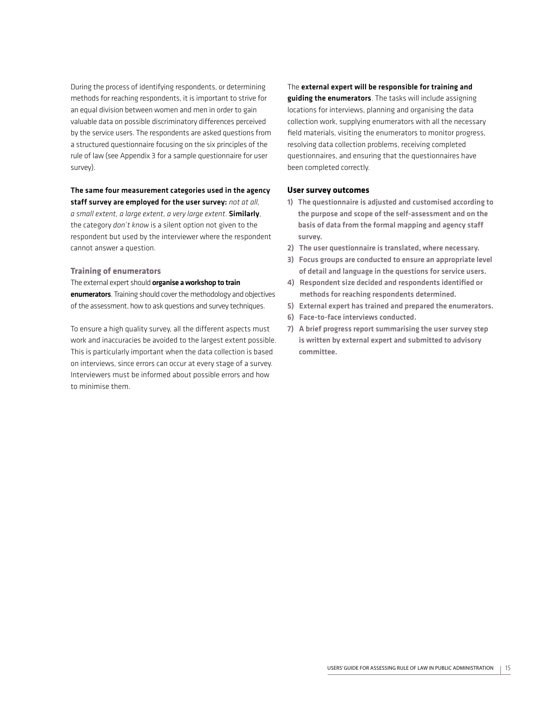During the process of identifying respondents, or determining methods for reaching respondents, it is important to strive for an equal division between women and men in order to gain valuable data on possible discriminatory differences perceived by the service users. The respondents are asked questions from a structured questionnaire focusing on the six principles of the rule of law (see Appendix 3 for a sample questionnaire for user survey).

#### The same four measurement categories used in the agency

staff survey are employed for the user survey: *not at all, a small extent, a large extent, a very large extent*. Similarly, the category *don't know* is a silent option not given to the respondent but used by the interviewer where the respondent cannot answer a question.

#### **Training of enumerators**

The external expert should organise a workshop to train enumerators. Training should cover the methodology and objectives of the assessment, how to ask questions and survey techniques.

To ensure a high quality survey, all the different aspects must work and inaccuracies be avoided to the largest extent possible. This is particularly important when the data collection is based on interviews, since errors can occur at every stage of a survey. Interviewers must be informed about possible errors and how to minimise them.

The external expert will be responsible for training and guiding the enumerators. The tasks will include assigning locations for interviews, planning and organising the data collection work, supplying enumerators with all the necessary field materials, visiting the enumerators to monitor progress, resolving data collection problems, receiving completed questionnaires, and ensuring that the questionnaires have been completed correctly.

#### **User survey outcomes**

- 1) The questionnaire is adjusted and customised according to the purpose and scope of the self-assessment and on the basis of data from the formal mapping and agency staff survey.
- 2) The user questionnaire is translated, where necessary.
- 3) Focus groups are conducted to ensure an appropriate level of detail and language in the questions for service users.
- 4) Respondent size decided and respondents identified or methods for reaching respondents determined.
- 5) External expert has trained and prepared the enumerators.
- 6) Face-to-face interviews conducted.
- 7) A brief progress report summarising the user survey step is written by external expert and submitted to advisory committee.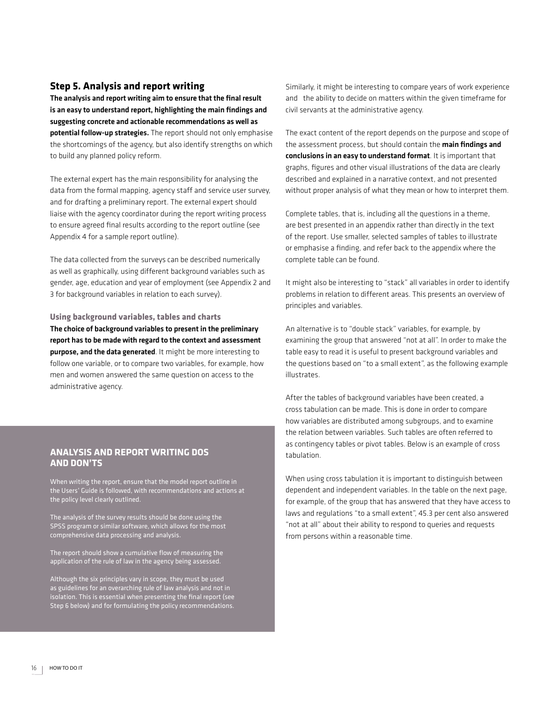#### **Step 5. Analysis and report writing**

The analysis and report writing aim to ensure that the final result is an easy to understand report, highlighting the main findings and suggesting concrete and actionable recommendations as well as potential follow-up strategies. The report should not only emphasise the shortcomings of the agency, but also identify strengths on which to build any planned policy reform.

The external expert has the main responsibility for analysing the data from the formal mapping, agency staff and service user survey, and for drafting a preliminary report. The external expert should liaise with the agency coordinator during the report writing process to ensure agreed final results according to the report outline (see Appendix 4 for a sample report outline).

The data collected from the surveys can be described numerically as well as graphically, using different background variables such as gender, age, education and year of employment (see Appendix 2 and 3 for background variables in relation to each survey).

**Using background variables, tables and charts** The choice of background variables to present in the preliminary report has to be made with regard to the context and assessment purpose, and the data generated. It might be more interesting to follow one variable, or to compare two variables, for example, how men and women answered the same question on access to the administrative agency.

#### **Analysis and report writing dos and don'ts**

When writing the report, ensure that the model report outline in the Users' Guide is followed, with recommendations and actions at the policy level clearly outlined.

The analysis of the survey results should be done using the SPSS program or similar software, which allows for the most comprehensive data processing and analysis.

The report should show a cumulative flow of measuring the application of the rule of law in the agency being assessed.

Although the six principles vary in scope, they must be used as guidelines for an overarching rule of law analysis and not in isolation. This is essential when presenting the final report (see Step 6 below) and for formulating the policy recommendations. Similarly, it might be interesting to compare years of work experience and the ability to decide on matters within the given timeframe for civil servants at the administrative agency.

The exact content of the report depends on the purpose and scope of the assessment process, but should contain the main findings and conclusions in an easy to understand format. It is important that graphs, figures and other visual illustrations of the data are clearly described and explained in a narrative context, and not presented without proper analysis of what they mean or how to interpret them.

Complete tables, that is, including all the questions in a theme, are best presented in an appendix rather than directly in the text of the report. Use smaller, selected samples of tables to illustrate or emphasise a finding, and refer back to the appendix where the complete table can be found.

It might also be interesting to "stack" all variables in order to identify problems in relation to different areas. This presents an overview of principles and variables.

An alternative is to "double stack" variables, for example, by examining the group that answered "not at all". In order to make the table easy to read it is useful to present background variables and the questions based on "to a small extent", as the following example illustrates.

After the tables of background variables have been created, a cross tabulation can be made. This is done in order to compare how variables are distributed among subgroups, and to examine the relation between variables. Such tables are often referred to as contingency tables or pivot tables. Below is an example of cross tabulation.

When using cross tabulation it is important to distinguish between dependent and independent variables. In the table on the next page, for example, of the group that has answered that they have access to laws and regulations "to a small extent", 45.3 per cent also answered "not at all" about their ability to respond to queries and requests from persons within a reasonable time.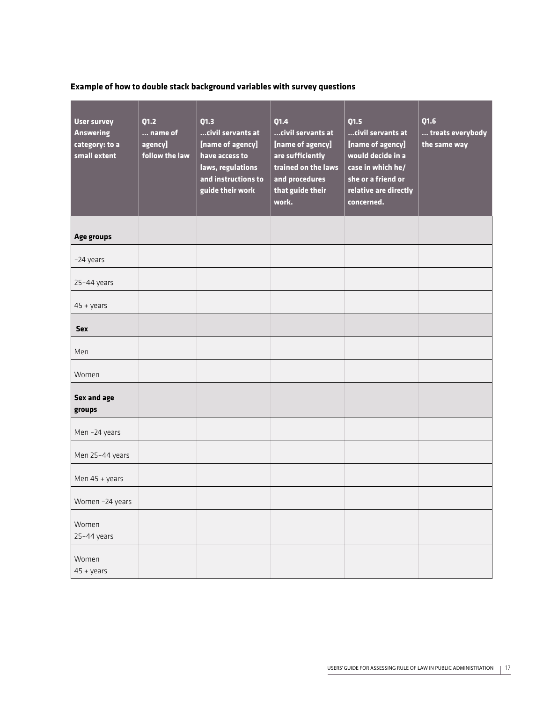#### **Example of how to double stack background variables with survey questions**

| <b>User survey</b><br><b>Answering</b><br>category: to a<br>small extent | Q1.2<br>$\overline{}$ name of<br>agency]<br>follow the law | Q1.3<br>civil servants at<br>[name of agency]<br>have access to<br>laws, regulations<br>and instructions to<br>guide their work | Q1.4<br>civil servants at<br>[name of agency]<br>are sufficiently<br>trained on the laws<br>and procedures<br>that guide their<br>work. | Q1.5<br>civil servants at<br>[name of agency]<br>would decide in a<br>case in which he/<br>she or a friend or<br>relative are directly<br>concerned. | Q1.6<br>treats everybody<br>the same way |
|--------------------------------------------------------------------------|------------------------------------------------------------|---------------------------------------------------------------------------------------------------------------------------------|-----------------------------------------------------------------------------------------------------------------------------------------|------------------------------------------------------------------------------------------------------------------------------------------------------|------------------------------------------|
| Age groups                                                               |                                                            |                                                                                                                                 |                                                                                                                                         |                                                                                                                                                      |                                          |
| -24 years                                                                |                                                            |                                                                                                                                 |                                                                                                                                         |                                                                                                                                                      |                                          |
| $25-44$ years                                                            |                                                            |                                                                                                                                 |                                                                                                                                         |                                                                                                                                                      |                                          |
| $45 + \gamma$ ears                                                       |                                                            |                                                                                                                                 |                                                                                                                                         |                                                                                                                                                      |                                          |
| <b>Sex</b>                                                               |                                                            |                                                                                                                                 |                                                                                                                                         |                                                                                                                                                      |                                          |
| Men                                                                      |                                                            |                                                                                                                                 |                                                                                                                                         |                                                                                                                                                      |                                          |
| Women                                                                    |                                                            |                                                                                                                                 |                                                                                                                                         |                                                                                                                                                      |                                          |
| <b>Sex and age</b><br>groups                                             |                                                            |                                                                                                                                 |                                                                                                                                         |                                                                                                                                                      |                                          |
| Men-24 years                                                             |                                                            |                                                                                                                                 |                                                                                                                                         |                                                                                                                                                      |                                          |
| Men 25-44 years                                                          |                                                            |                                                                                                                                 |                                                                                                                                         |                                                                                                                                                      |                                          |
| Men $45 + \gamma$ ears                                                   |                                                            |                                                                                                                                 |                                                                                                                                         |                                                                                                                                                      |                                          |
| Women -24 years                                                          |                                                            |                                                                                                                                 |                                                                                                                                         |                                                                                                                                                      |                                          |
| Women<br>$25-44$ years                                                   |                                                            |                                                                                                                                 |                                                                                                                                         |                                                                                                                                                      |                                          |
| Women<br>$45 + \gamma$ ears                                              |                                                            |                                                                                                                                 |                                                                                                                                         |                                                                                                                                                      |                                          |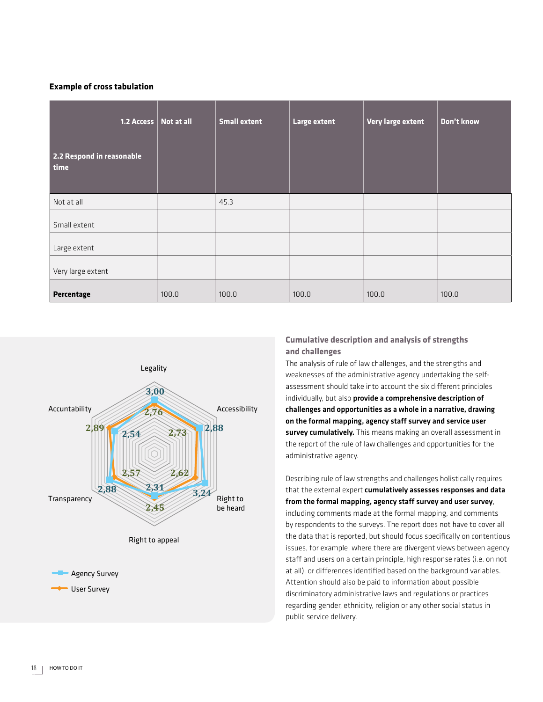#### **Example of cross tabulation**

| 2.2 Respond in reasonable<br>time | $\overline{\phantom{a}}$ 1.2 Access $\overline{\phantom{a}}$ Not at all | <b>Small extent</b> | Large extent | Very large extent | Don't know |
|-----------------------------------|-------------------------------------------------------------------------|---------------------|--------------|-------------------|------------|
| Not at all                        |                                                                         | 45.3                |              |                   |            |
| Small extent                      |                                                                         |                     |              |                   |            |
| Large extent                      |                                                                         |                     |              |                   |            |
| Very large extent                 |                                                                         |                     |              |                   |            |
| Percentage                        | 100.0                                                                   | 100.0               | 100.0        | 100.0             | 100.0      |



#### **Cumulative description and analysis of strengths and challenges**

The analysis of rule of law challenges, and the strengths and weaknesses of the administrative agency undertaking the selfassessment should take into account the six different principles individually, but also provide a comprehensive description of challenges and opportunities as a whole in a narrative, drawing on the formal mapping, agency staff survey and service user survey cumulatively. This means making an overall assessment in the report of the rule of law challenges and opportunities for the administrative agency.

Describing rule of law strengths and challenges holistically requires that the external expert cumulatively assesses responses and data from the formal mapping, agency staff survey and user survey, including comments made at the formal mapping, and comments by respondents to the surveys. The report does not have to cover all the data that is reported, but should focus specifically on contentious issues, for example, where there are divergent views between agency staff and users on a certain principle, high response rates (i.e. on not at all), or differences identified based on the background variables. Attention should also be paid to information about possible discriminatory administrative laws and regulations or practices regarding gender, ethnicity, religion or any other social status in public service delivery.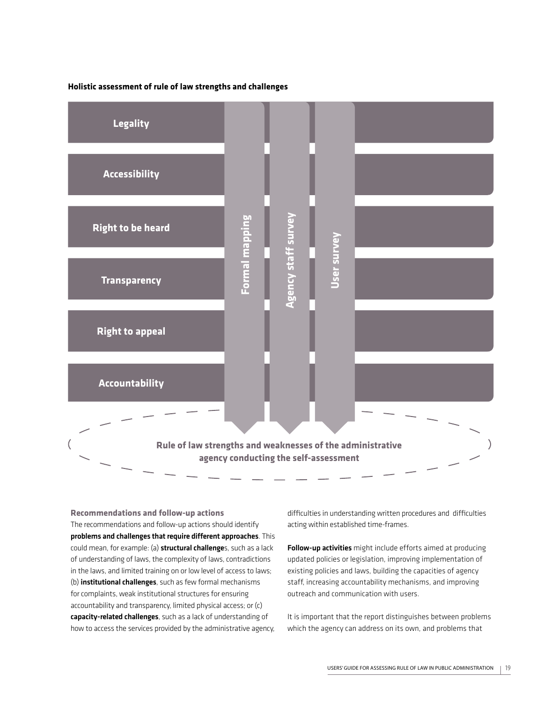

**Recommendations and follow-up actions** The recommendations and follow-up actions should identify problems and challenges that require different approaches. This could mean, for example: (a) structural challenges, such as a lack of understanding of laws, the complexity of laws, contradictions in the laws, and limited training on or low level of access to laws; (b) institutional challenges, such as few formal mechanisms for complaints, weak institutional structures for ensuring accountability and transparency, limited physical access; or (c) capacity-related challenges, such as a lack of understanding of how to access the services provided by the administrative agency,

difficulties in understanding written procedures and difficulties acting within established time-frames.

Follow-up activities might include efforts aimed at producing updated policies or legislation, improving implementation of existing policies and laws, building the capacities of agency staff, increasing accountability mechanisms, and improving outreach and communication with users.

It is important that the report distinguishes between problems which the agency can address on its own, and problems that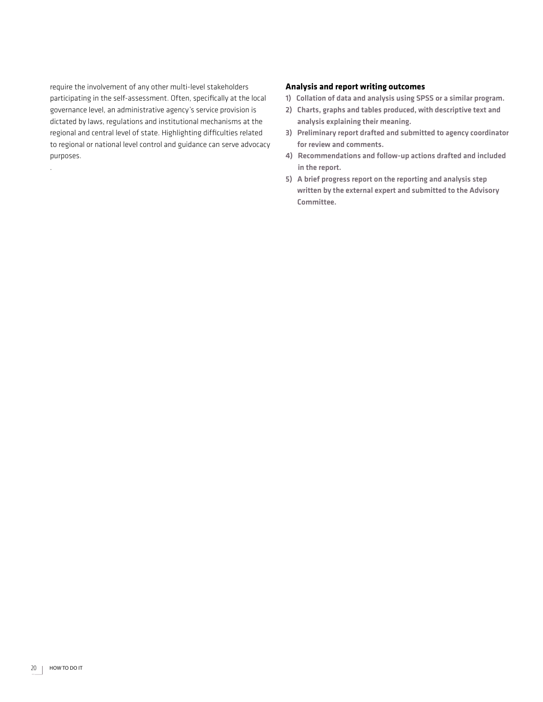require the involvement of any other multi-level stakeholders participating in the self-assessment. Often, specifically at the local governance level, an administrative agency's service provision is dictated by laws, regulations and institutional mechanisms at the regional and central level of state. Highlighting difficulties related to regional or national level control and guidance can serve advocacy purposes.

#### **Analysis and report writing outcomes**

- 1) Collation of data and analysis using SPSS or a similar program.
- 2) Charts, graphs and tables produced, with descriptive text and analysis explaining their meaning.
- 3) Preliminary report drafted and submitted to agency coordinator for review and comments.
- 4) Recommendations and follow-up actions drafted and included in the report.
- 5) A brief progress report on the reporting and analysis step written by the external expert and submitted to the Advisory Committee.

.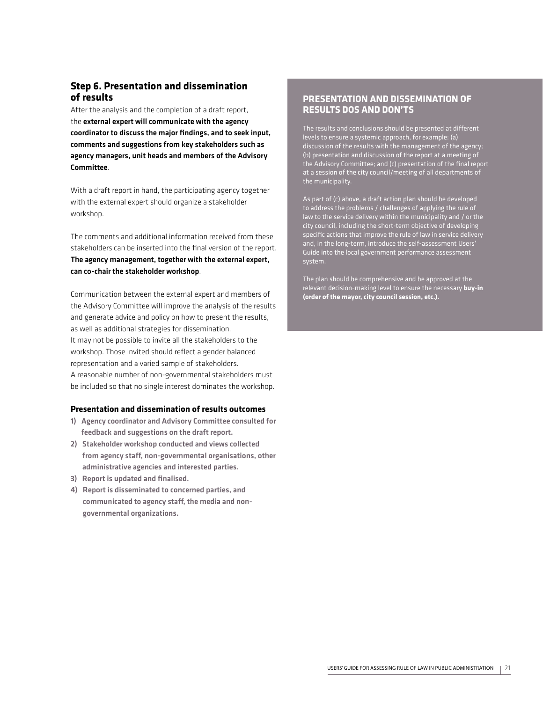#### **Step 6. Presentation and dissemination of results**

After the analysis and the completion of a draft report, the external expert will communicate with the agency coordinator to discuss the major findings, and to seek input, comments and suggestions from key stakeholders such as agency managers, unit heads and members of the Advisory Committee.

With a draft report in hand, the participating agency together with the external expert should organize a stakeholder workshop.

The comments and additional information received from these stakeholders can be inserted into the final version of the report. The agency management, together with the external expert, can co-chair the stakeholder workshop.

Communication between the external expert and members of the Advisory Committee will improve the analysis of the results and generate advice and policy on how to present the results, as well as additional strategies for dissemination. It may not be possible to invite all the stakeholders to the workshop. Those invited should reflect a gender balanced representation and a varied sample of stakeholders. A reasonable number of non-governmental stakeholders must be included so that no single interest dominates the workshop.

#### **Presentation and dissemination of results outcomes**

- 1) Agency coordinator and Advisory Committee consulted for feedback and suggestions on the draft report.
- 2) Stakeholder workshop conducted and views collected from agency staff, non-governmental organisations, other administrative agencies and interested parties.
- 3) Report is updated and finalised.
- 4) Report is disseminated to concerned parties, and communicated to agency staff, the media and nongovernmental organizations.

#### **Presentation and dissemination of results dos and don'ts**

The results and conclusions should be presented at different levels to ensure a systemic approach, for example: (a) discussion of the results with the management of the agency; (b) presentation and discussion of the report at a meeting of the Advisory Committee; and (c) presentation of the final report at a session of the city council/meeting of all departments of the municipality.

As part of (c) above, a draft action plan should be developed to address the problems / challenges of applying the rule of law to the service delivery within the municipality and / or the city council, including the short-term objective of developing specific actions that improve the rule of law in service delivery and, in the long-term, introduce the self-assessment Users' Guide into the local government performance assessment system.

The plan should be comprehensive and be approved at the relevant decision-making level to ensure the necessary **buy-in (order of the mayor, city council session, etc.).**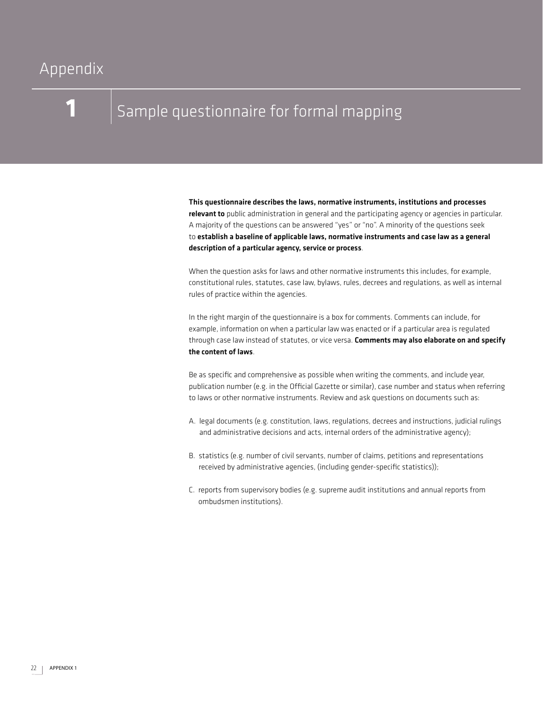**1**

### Sample questionnaire for formal mapping

This questionnaire describes the laws, normative instruments, institutions and processes relevant to public administration in general and the participating agency or agencies in particular. A majority of the questions can be answered "yes" or "no". A minority of the questions seek to establish a baseline of applicable laws, normative instruments and case law as a general description of a particular agency, service or process.

When the question asks for laws and other normative instruments this includes, for example, constitutional rules, statutes, case law, bylaws, rules, decrees and regulations, as well as internal rules of practice within the agencies.

In the right margin of the questionnaire is a box for comments. Comments can include, for example, information on when a particular law was enacted or if a particular area is regulated through case law instead of statutes, or vice versa. Comments may also elaborate on and specify the content of laws.

Be as specific and comprehensive as possible when writing the comments, and include year, publication number (e.g. in the Official Gazette or similar), case number and status when referring to laws or other normative instruments. Review and ask questions on documents such as:

- A. legal documents (e.g. constitution, laws, regulations, decrees and instructions, judicial rulings and administrative decisions and acts, internal orders of the administrative agency);
- B. statistics (e.g. number of civil servants, number of claims, petitions and representations received by administrative agencies, (including gender-specific statistics));
- C. reports from supervisory bodies (e.g. supreme audit institutions and annual reports from ombudsmen institutions).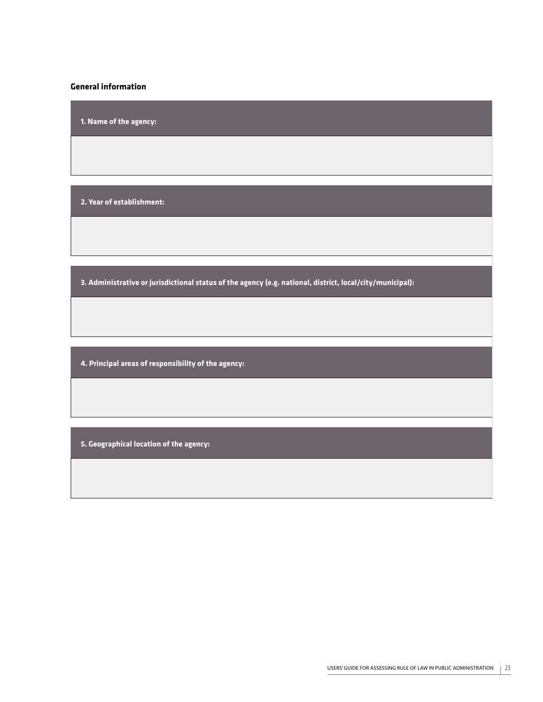#### **General information**

**1. Name of the agency:** 

**2. Year of establishment:** 

**3. Administrative or jurisdictional status of the agency (e.g. national, district, local/city/municipal):** 

**4. Principal areas of responsibility of the agency:**

**5. Geographical location of the agency:**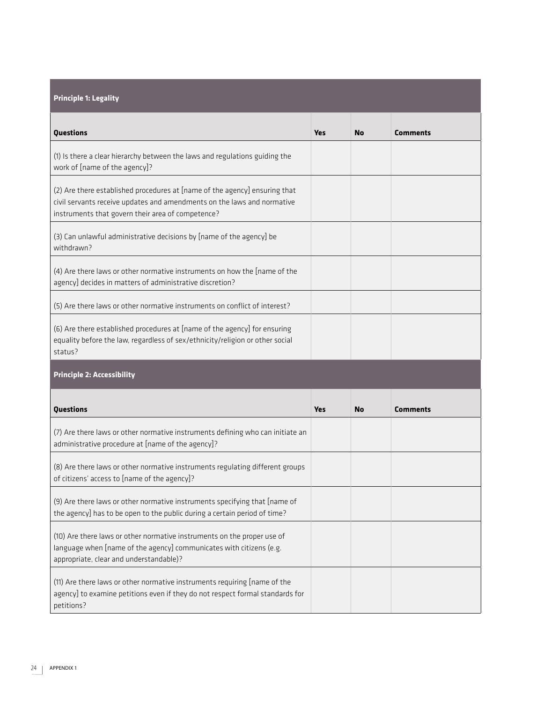| <b>Principle 1: Legality</b>                                                                                                                                                                               |            |           |                 |
|------------------------------------------------------------------------------------------------------------------------------------------------------------------------------------------------------------|------------|-----------|-----------------|
| Questions                                                                                                                                                                                                  | <b>Yes</b> | <b>No</b> | <b>Comments</b> |
| (1) Is there a clear hierarchy between the laws and regulations guiding the<br>work of [name of the agency]?                                                                                               |            |           |                 |
| (2) Are there established procedures at [name of the agency] ensuring that<br>civil servants receive updates and amendments on the laws and normative<br>instruments that govern their area of competence? |            |           |                 |
| (3) Can unlawful administrative decisions by [name of the agency] be<br>withdrawn?                                                                                                                         |            |           |                 |
| (4) Are there laws or other normative instruments on how the [name of the<br>agency] decides in matters of administrative discretion?                                                                      |            |           |                 |
| (5) Are there laws or other normative instruments on conflict of interest?                                                                                                                                 |            |           |                 |
| (6) Are there established procedures at [name of the agency] for ensuring<br>equality before the law, regardless of sex/ethnicity/religion or other social<br>status?                                      |            |           |                 |
| <b>Principle 2: Accessibility</b>                                                                                                                                                                          |            |           |                 |
| Questions                                                                                                                                                                                                  | <b>Yes</b> | <b>No</b> | <b>Comments</b> |
| (7) Are there laws or other normative instruments defining who can initiate an<br>administrative procedure at [name of the agency]?                                                                        |            |           |                 |
| (8) Are there laws or other normative instruments regulating different groups<br>of citizens' access to [name of the agency]?                                                                              |            |           |                 |
| (9) Are there laws or other normative instruments specifying that [name of<br>the agency] has to be open to the public during a certain period of time?                                                    |            |           |                 |
| (10) Are there laws or other normative instruments on the proper use of<br>language when [name of the agency] communicates with citizens (e.g.<br>appropriate, clear and understandable)?                  |            |           |                 |
| (11) Are there laws or other normative instruments requiring [name of the<br>agency] to examine petitions even if they do not respect formal standards for<br>petitions?                                   |            |           |                 |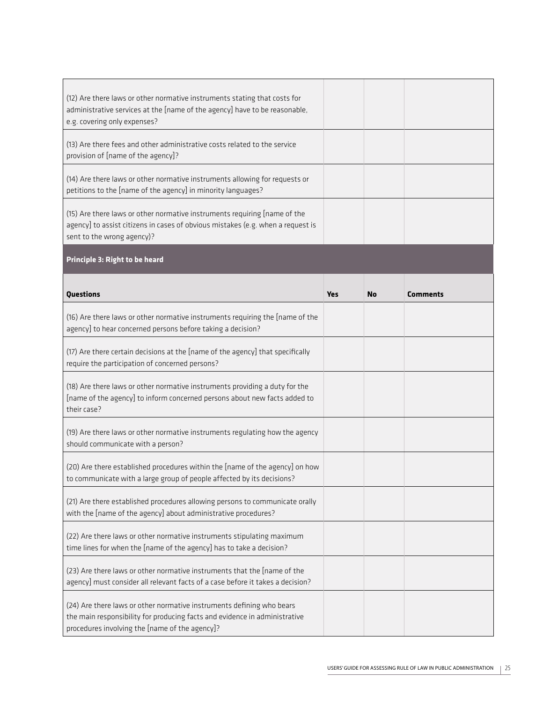| (12) Are there laws or other normative instruments stating that costs for<br>administrative services at the [name of the agency] have to be reasonable,<br>e.g. covering only expenses?               |            |           |                 |
|-------------------------------------------------------------------------------------------------------------------------------------------------------------------------------------------------------|------------|-----------|-----------------|
| (13) Are there fees and other administrative costs related to the service<br>provision of [name of the agency]?                                                                                       |            |           |                 |
| (14) Are there laws or other normative instruments allowing for requests or<br>petitions to the [name of the agency] in minority languages?                                                           |            |           |                 |
| (15) Are there laws or other normative instruments requiring [name of the<br>agency] to assist citizens in cases of obvious mistakes (e.g. when a request is<br>sent to the wrong agency)?            |            |           |                 |
| Principle 3: Right to be heard                                                                                                                                                                        |            |           |                 |
| Questions                                                                                                                                                                                             | <b>Yes</b> | <b>No</b> | <b>Comments</b> |
| (16) Are there laws or other normative instruments requiring the [name of the<br>agency] to hear concerned persons before taking a decision?                                                          |            |           |                 |
| (17) Are there certain decisions at the [name of the agency] that specifically<br>require the participation of concerned persons?                                                                     |            |           |                 |
| (18) Are there laws or other normative instruments providing a duty for the<br>[name of the agency] to inform concerned persons about new facts added to<br>their case?                               |            |           |                 |
| (19) Are there laws or other normative instruments regulating how the agency<br>should communicate with a person?                                                                                     |            |           |                 |
| (20) Are there established procedures within the [name of the agency] on how<br>to communicate with a large group of people affected by its decisions?                                                |            |           |                 |
| (21) Are there established procedures allowing persons to communicate orally<br>with the [name of the agency] about administrative procedures?                                                        |            |           |                 |
| (22) Are there laws or other normative instruments stipulating maximum<br>time lines for when the [name of the agency] has to take a decision?                                                        |            |           |                 |
| (23) Are there laws or other normative instruments that the [name of the<br>agency] must consider all relevant facts of a case before it takes a decision?                                            |            |           |                 |
| (24) Are there laws or other normative instruments defining who bears<br>the main responsibility for producing facts and evidence in administrative<br>procedures involving the [name of the agency]? |            |           |                 |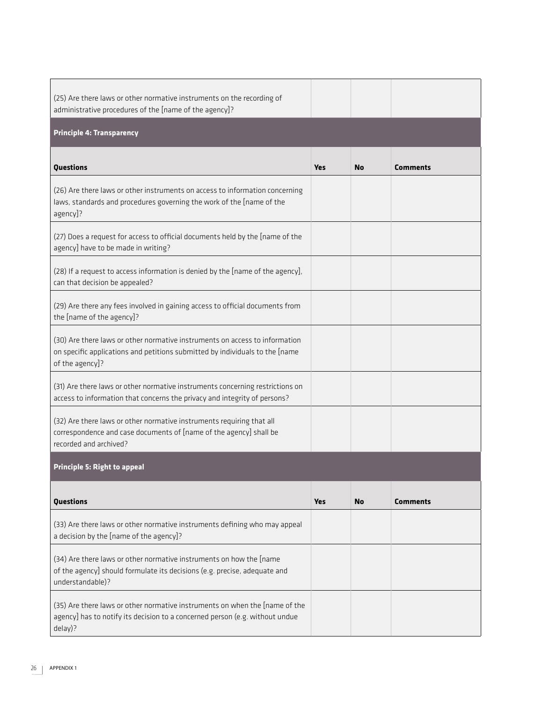| (25) Are there laws or other normative instruments on the recording of<br>administrative procedures of the [name of the agency]?                                               |            |           |                 |
|--------------------------------------------------------------------------------------------------------------------------------------------------------------------------------|------------|-----------|-----------------|
| <b>Principle 4: Transparency</b>                                                                                                                                               |            |           |                 |
| Questions                                                                                                                                                                      | <b>Yes</b> | <b>No</b> | <b>Comments</b> |
| (26) Are there laws or other instruments on access to information concerning<br>laws, standards and procedures governing the work of the [name of the<br>agency]?              |            |           |                 |
| (27) Does a request for access to official documents held by the [name of the<br>agency] have to be made in writing?                                                           |            |           |                 |
| (28) If a request to access information is denied by the [name of the agency],<br>can that decision be appealed?                                                               |            |           |                 |
| (29) Are there any fees involved in gaining access to official documents from<br>the [name of the agency]?                                                                     |            |           |                 |
| (30) Are there laws or other normative instruments on access to information<br>on specific applications and petitions submitted by individuals to the [name<br>of the agency]? |            |           |                 |
| (31) Are there laws or other normative instruments concerning restrictions on<br>access to information that concerns the privacy and integrity of persons?                     |            |           |                 |
| (32) Are there laws or other normative instruments requiring that all<br>correspondence and case documents of [name of the agency] shall be<br>recorded and archived?          |            |           |                 |
| <b>Principle 5: Right to appeal</b>                                                                                                                                            |            |           |                 |
| Questions                                                                                                                                                                      | <b>Yes</b> | <b>No</b> | <b>Comments</b> |
| (33) Are there laws or other normative instruments defining who may appeal<br>a decision by the [name of the agency]?                                                          |            |           |                 |
| (34) Are there laws or other normative instruments on how the [name<br>of the agency] should formulate its decisions (e.g. precise, adequate and<br>understandable)?           |            |           |                 |
| (35) Are there laws or other normative instruments on when the [name of the<br>agency] has to notify its decision to a concerned person (e.g. without undue<br>delay)?         |            |           |                 |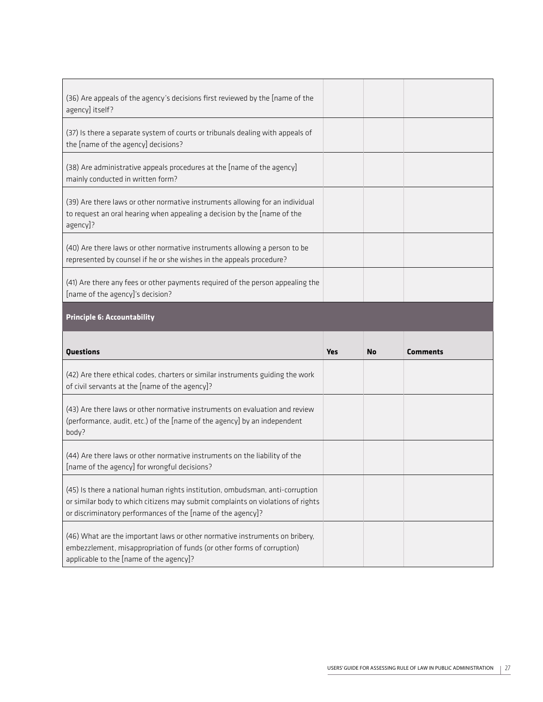| (36) Are appeals of the agency's decisions first reviewed by the [name of the<br>agency] itself?                                                                                                                                |            |           |                 |
|---------------------------------------------------------------------------------------------------------------------------------------------------------------------------------------------------------------------------------|------------|-----------|-----------------|
| (37) Is there a separate system of courts or tribunals dealing with appeals of<br>the [name of the agency] decisions?                                                                                                           |            |           |                 |
| (38) Are administrative appeals procedures at the [name of the agency]<br>mainly conducted in written form?                                                                                                                     |            |           |                 |
| (39) Are there laws or other normative instruments allowing for an individual<br>to request an oral hearing when appealing a decision by the [name of the<br>agency]?                                                           |            |           |                 |
| (40) Are there laws or other normative instruments allowing a person to be<br>represented by counsel if he or she wishes in the appeals procedure?                                                                              |            |           |                 |
| (41) Are there any fees or other payments required of the person appealing the<br>[name of the agency]'s decision?                                                                                                              |            |           |                 |
| <b>Principle 6: Accountability</b>                                                                                                                                                                                              |            |           |                 |
|                                                                                                                                                                                                                                 |            |           |                 |
| Questions                                                                                                                                                                                                                       | <b>Yes</b> | <b>No</b> | <b>Comments</b> |
| (42) Are there ethical codes, charters or similar instruments guiding the work<br>of civil servants at the [name of the agency]?                                                                                                |            |           |                 |
| (43) Are there laws or other normative instruments on evaluation and review<br>(performance, audit, etc.) of the [name of the agency] by an independent<br>body?                                                                |            |           |                 |
| (44) Are there laws or other normative instruments on the liability of the<br>[name of the agency] for wrongful decisions?                                                                                                      |            |           |                 |
| (45) Is there a national human rights institution, ombudsman, anti-corruption<br>or similar body to which citizens may submit complaints on violations of rights<br>or discriminatory performances of the [name of the agency]? |            |           |                 |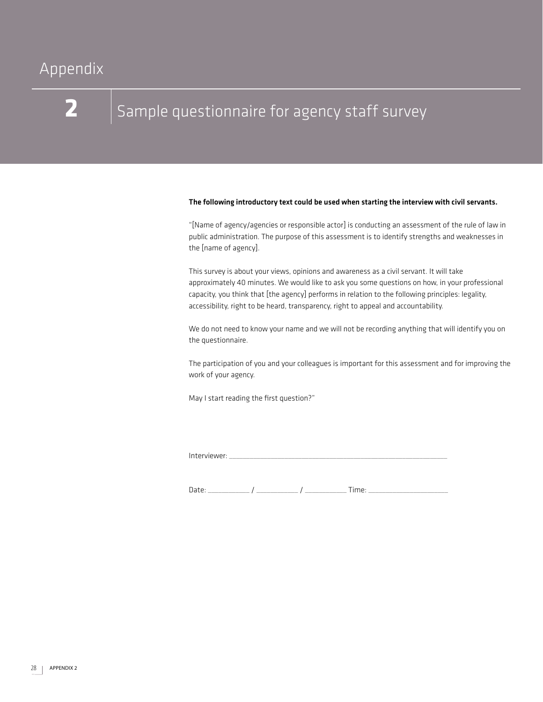### $\overline{\mathsf{Appendix}}$

# **2**

## Sample questionnaire for agency staff survey

#### The following introductory text could be used when starting the interview with civil servants.

"[Name of agency/agencies or responsible actor] is conducting an assessment of the rule of law in public administration. The purpose of this assessment is to identify strengths and weaknesses in the [name of agency].

This survey is about your views, opinions and awareness as a civil servant. It will take approximately 40 minutes. We would like to ask you some questions on how, in your professional capacity, you think that [the agency] performs in relation to the following principles: legality, accessibility, right to be heard, transparency, right to appeal and accountability.

We do not need to know your name and we will not be recording anything that will identify you on the questionnaire.

The participation of you and your colleagues is important for this assessment and for improving the work of your agency.

May I start reading the first question?"

Interviewer:

Date: \_\_\_\_\_\_\_\_\_\_\_\_ / \_\_\_\_\_\_\_\_\_\_\_\_ / \_\_\_\_\_\_\_\_\_\_\_\_ Time: \_\_\_\_\_\_\_\_\_\_\_\_\_\_\_\_\_\_\_\_\_\_\_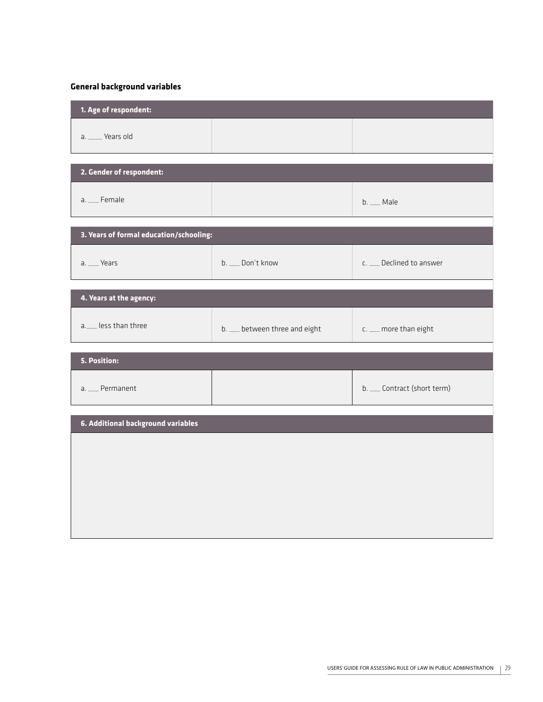#### **General background variables**

| $b.$ $\_\_\_\$ Male                                   |
|-------------------------------------------------------|
|                                                       |
| b. __ Don't know<br>c. __ Declined to answer          |
|                                                       |
| b. __ between three and eight<br>c. _ more than eight |
|                                                       |
| b. __ Contract (short term)                           |
|                                                       |
|                                                       |
|                                                       |
|                                                       |
|                                                       |
|                                                       |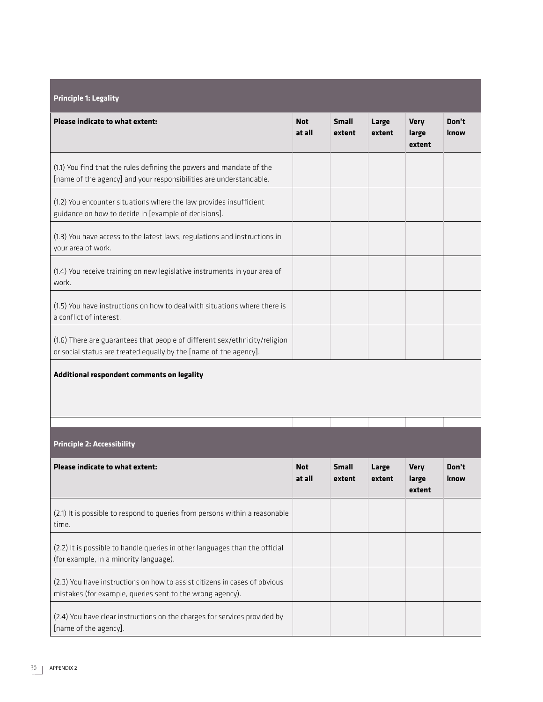| <b>Principle 1: Legality</b>                                                                                                                    |                      |                        |                 |                                |               |
|-------------------------------------------------------------------------------------------------------------------------------------------------|----------------------|------------------------|-----------------|--------------------------------|---------------|
| <b>Please indicate to what extent:</b>                                                                                                          | <b>Not</b><br>at all | <b>Small</b><br>extent | Large<br>extent | <b>Very</b><br>large<br>extent | Don't<br>know |
| (1.1) You find that the rules defining the powers and mandate of the<br>[name of the agency] and your responsibilities are understandable.      |                      |                        |                 |                                |               |
| (1.2) You encounter situations where the law provides insufficient<br>guidance on how to decide in [example of decisions].                      |                      |                        |                 |                                |               |
| (1.3) You have access to the latest laws, regulations and instructions in<br>your area of work.                                                 |                      |                        |                 |                                |               |
| (1.4) You receive training on new legislative instruments in your area of<br>work.                                                              |                      |                        |                 |                                |               |
| (1.5) You have instructions on how to deal with situations where there is<br>a conflict of interest.                                            |                      |                        |                 |                                |               |
| (1.6) There are guarantees that people of different sex/ethnicity/religion<br>or social status are treated equally by the [name of the agency]. |                      |                        |                 |                                |               |
| Additional respondent comments on legality                                                                                                      |                      |                        |                 |                                |               |
|                                                                                                                                                 |                      |                        |                 |                                |               |
| <b>Principle 2: Accessibility</b>                                                                                                               |                      |                        |                 |                                |               |
| <b>Please indicate to what extent:</b>                                                                                                          | <b>Not</b><br>at all | <b>Small</b><br>extent | Large<br>extent | Very<br>large<br>extent        | Don't<br>know |
| (2.1) It is possible to respond to queries from persons within a reasonable<br>time.                                                            |                      |                        |                 |                                |               |
| (2.2) It is possible to handle queries in other languages than the official<br>(for example, in a minority language).                           |                      |                        |                 |                                |               |
| (2.3) You have instructions on how to assist citizens in cases of obvious<br>mistakes (for example, queries sent to the wrong agency).          |                      |                        |                 |                                |               |
| (2.4) You have clear instructions on the charges for services provided by<br>[name of the agency].                                              |                      |                        |                 |                                |               |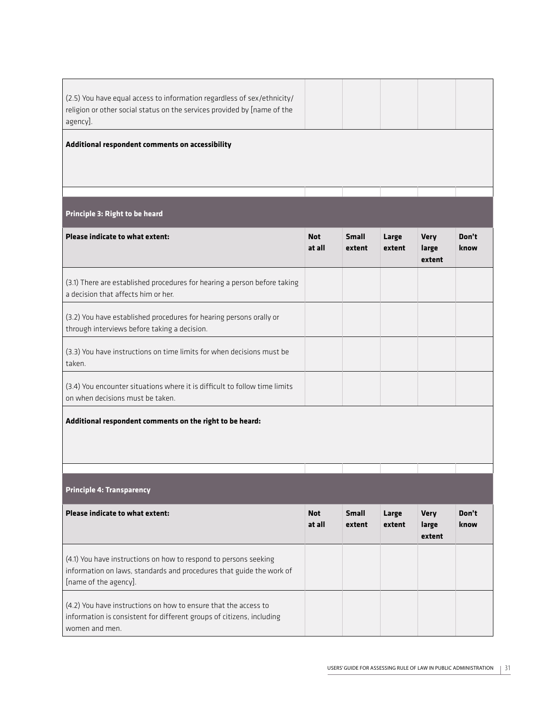| (2.5) You have equal access to information regardless of sex/ethnicity/<br>religion or other social status on the services provided by [name of the<br>agency].   |                      |                        |                 |                                |               |
|-------------------------------------------------------------------------------------------------------------------------------------------------------------------|----------------------|------------------------|-----------------|--------------------------------|---------------|
| Additional respondent comments on accessibility                                                                                                                   |                      |                        |                 |                                |               |
|                                                                                                                                                                   |                      |                        |                 |                                |               |
| <b>Principle 3: Right to be heard</b>                                                                                                                             |                      |                        |                 |                                |               |
| <b>Please indicate to what extent:</b>                                                                                                                            | <b>Not</b><br>at all | <b>Small</b><br>extent | Large<br>extent | <b>Very</b><br>large<br>extent | Don't<br>know |
| (3.1) There are established procedures for hearing a person before taking<br>a decision that affects him or her.                                                  |                      |                        |                 |                                |               |
| (3.2) You have established procedures for hearing persons orally or<br>through interviews before taking a decision.                                               |                      |                        |                 |                                |               |
| (3.3) You have instructions on time limits for when decisions must be<br>taken.                                                                                   |                      |                        |                 |                                |               |
| (3.4) You encounter situations where it is difficult to follow time limits<br>on when decisions must be taken.                                                    |                      |                        |                 |                                |               |
| Additional respondent comments on the right to be heard:                                                                                                          |                      |                        |                 |                                |               |
|                                                                                                                                                                   |                      |                        |                 |                                |               |
|                                                                                                                                                                   |                      |                        |                 |                                |               |
| <b>Principle 4: Transparency</b>                                                                                                                                  |                      |                        |                 |                                |               |
| <b>Please indicate to what extent:</b>                                                                                                                            | <b>Not</b><br>at all | <b>Small</b><br>extent | Large<br>extent | <b>Very</b><br>large<br>extent | Don't<br>know |
| (4.1) You have instructions on how to respond to persons seeking<br>information on laws, standards and procedures that guide the work of<br>[name of the agency]. |                      |                        |                 |                                |               |
| (4.2) You have instructions on how to ensure that the access to<br>information is consistent for different groups of citizens, including<br>women and men.        |                      |                        |                 |                                |               |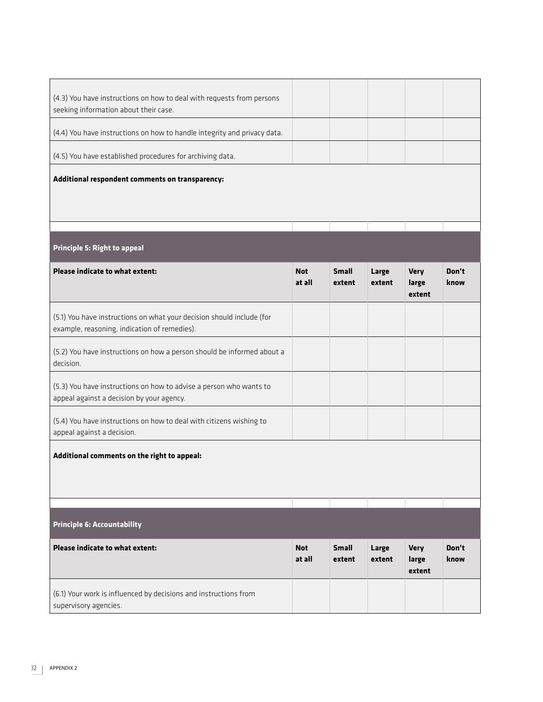| (4.3) You have instructions on how to deal with requests from persons<br>seeking information about their case.        |                      |                        |                 |                                |               |
|-----------------------------------------------------------------------------------------------------------------------|----------------------|------------------------|-----------------|--------------------------------|---------------|
| (4.4) You have instructions on how to handle integrity and privacy data.                                              |                      |                        |                 |                                |               |
| (4.5) You have established procedures for archiving data.                                                             |                      |                        |                 |                                |               |
| Additional respondent comments on transparency:                                                                       |                      |                        |                 |                                |               |
|                                                                                                                       |                      |                        |                 |                                |               |
|                                                                                                                       |                      |                        |                 |                                |               |
| <b>Principle 5: Right to appeal</b>                                                                                   |                      |                        |                 |                                |               |
| <b>Please indicate to what extent:</b>                                                                                | <b>Not</b><br>at all | <b>Small</b><br>extent | Large<br>extent | <b>Very</b><br>large<br>extent | Don't<br>know |
| (5.1) You have instructions on what your decision should include (for<br>example, reasoning, indication of remedies). |                      |                        |                 |                                |               |
| (5.2) You have instructions on how a person should be informed about a<br>decision.                                   |                      |                        |                 |                                |               |
| (5.3) You have instructions on how to advise a person who wants to<br>appeal against a decision by your agency.       |                      |                        |                 |                                |               |
| (5.4) You have instructions on how to deal with citizens wishing to<br>appeal against a decision.                     |                      |                        |                 |                                |               |
| Additional comments on the right to appeal:                                                                           |                      |                        |                 |                                |               |
|                                                                                                                       |                      |                        |                 |                                |               |
| <b>Principle 6: Accountability</b>                                                                                    |                      |                        |                 |                                |               |
| <b>Please indicate to what extent:</b>                                                                                | <b>Not</b><br>at all | <b>Small</b><br>extent | Large<br>extent | <b>Very</b><br>large<br>extent | Don't<br>know |
| (6.1) Your work is influenced by decisions and instructions from<br>supervisory agencies.                             |                      |                        |                 |                                |               |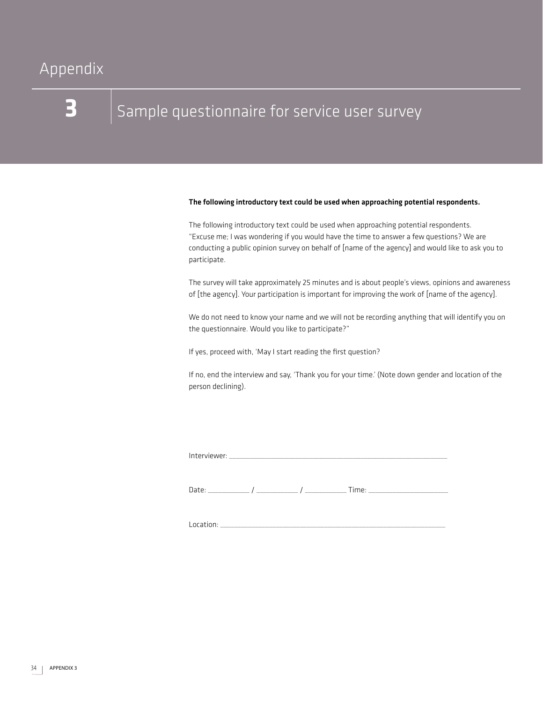### $\overline{\mathsf{Appendix}}$

# **3**

### Sample questionnaire for service user survey

#### The following introductory text could be used when approaching potential respondents.

The following introductory text could be used when approaching potential respondents. "Excuse me; I was wondering if you would have the time to answer a few questions? We are conducting a public opinion survey on behalf of [name of the agency] and would like to ask you to participate.

The survey will take approximately 25 minutes and is about people's views, opinions and awareness of [the agency]. Your participation is important for improving the work of [name of the agency].

We do not need to know your name and we will not be recording anything that will identify you on the questionnaire. Would you like to participate?"

If yes, proceed with, 'May I start reading the first question?

If no, end the interview and say, 'Thank you for your time.' (Note down gender and location of the person declining).

Interviewer:

Date: \_\_\_\_\_\_\_\_\_\_\_\_ / \_\_\_\_\_\_\_\_\_\_\_\_ / \_\_\_\_\_\_\_\_\_\_\_\_ Time: \_\_\_\_\_\_\_\_\_\_\_\_\_\_\_\_\_\_\_\_\_\_\_

Location: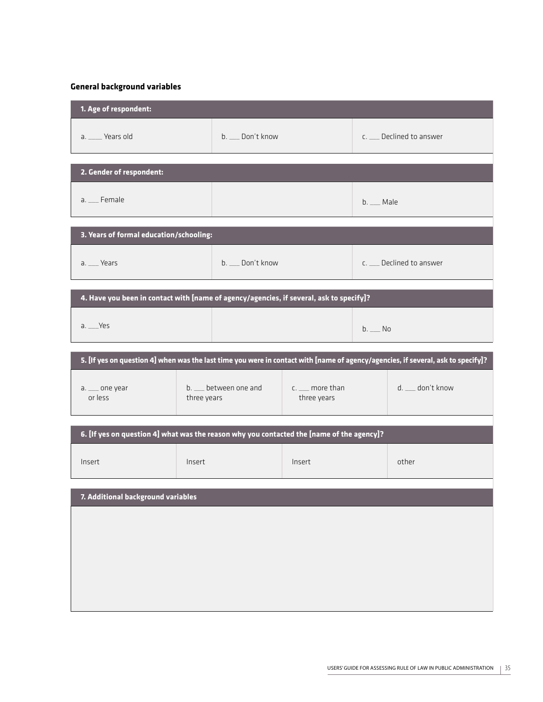#### **General background variables**

| 1. Age of respondent:                                                                     |                                     |                  |                                |  |                                                                                                                                  |
|-------------------------------------------------------------------------------------------|-------------------------------------|------------------|--------------------------------|--|----------------------------------------------------------------------------------------------------------------------------------|
| a. __ Years old                                                                           |                                     | b. __ Don't know |                                |  | c. __ Declined to answer                                                                                                         |
| 2. Gender of respondent:                                                                  |                                     |                  |                                |  |                                                                                                                                  |
| a. _ Female                                                                               |                                     |                  |                                |  | $b.$ ___ Male                                                                                                                    |
| 3. Years of formal education/schooling:                                                   |                                     |                  |                                |  |                                                                                                                                  |
| a. _ Years                                                                                |                                     | b. __ Don't know |                                |  | c. __ Declined to answer                                                                                                         |
| 4. Have you been in contact with [name of agency/agencies, if several, ask to specify]?   |                                     |                  |                                |  |                                                                                                                                  |
| $a.$ Yes                                                                                  |                                     |                  | $b.$ No                        |  |                                                                                                                                  |
|                                                                                           |                                     |                  |                                |  | 5. [If yes on question 4] when was the last time you were in contact with [name of agency/agencies, if several, ask to specify]? |
| a. __ one year<br>or less                                                                 | b. _ between one and<br>three years |                  | c. __ more than<br>three years |  | d. _ don't know                                                                                                                  |
| 6. [If yes on question 4] what was the reason why you contacted the [name of the agency]? |                                     |                  |                                |  |                                                                                                                                  |
| Insert                                                                                    | Insert                              |                  | Insert                         |  | other                                                                                                                            |
| 7. Additional background variables                                                        |                                     |                  |                                |  |                                                                                                                                  |
|                                                                                           |                                     |                  |                                |  |                                                                                                                                  |
|                                                                                           |                                     |                  |                                |  |                                                                                                                                  |
|                                                                                           |                                     |                  |                                |  |                                                                                                                                  |
|                                                                                           |                                     |                  |                                |  |                                                                                                                                  |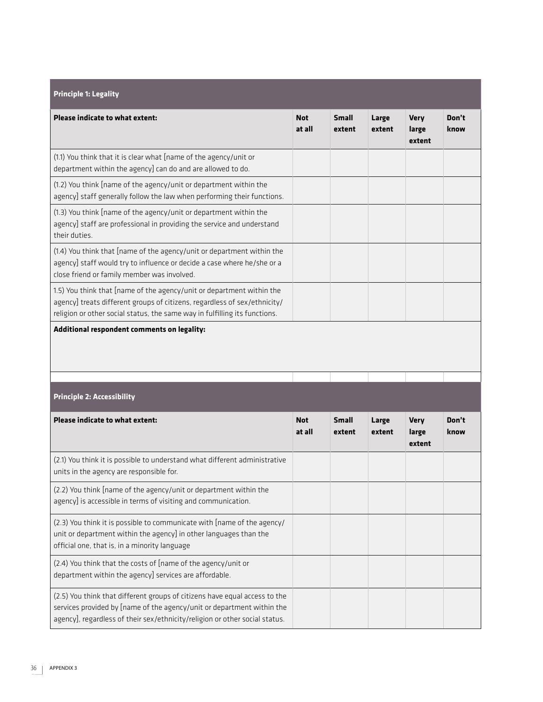| <b>Principle 1: Legality</b>                                                                                                                                                                                                        |                      |                        |                 |                                |               |
|-------------------------------------------------------------------------------------------------------------------------------------------------------------------------------------------------------------------------------------|----------------------|------------------------|-----------------|--------------------------------|---------------|
| <b>Please indicate to what extent:</b>                                                                                                                                                                                              |                      | <b>Small</b><br>extent | Large<br>extent | <b>Very</b><br>large<br>extent | Don't<br>know |
| (1.1) You think that it is clear what [name of the agency/unit or<br>department within the agency] can do and are allowed to do.                                                                                                    |                      |                        |                 |                                |               |
| (1.2) You think [name of the agency/unit or department within the<br>agency] staff generally follow the law when performing their functions.                                                                                        |                      |                        |                 |                                |               |
| (1.3) You think [name of the agency/unit or department within the<br>agency] staff are professional in providing the service and understand<br>their duties.                                                                        |                      |                        |                 |                                |               |
| (1.4) You think that [name of the agency/unit or department within the<br>agency] staff would try to influence or decide a case where he/she or a<br>close friend or family member was involved.                                    |                      |                        |                 |                                |               |
| 1.5) You think that [name of the agency/unit or department within the<br>agency] treats different groups of citizens, regardless of sex/ethnicity/<br>religion or other social status, the same way in fulfilling its functions.    |                      |                        |                 |                                |               |
| Additional respondent comments on legality:                                                                                                                                                                                         |                      |                        |                 |                                |               |
| <b>Principle 2: Accessibility</b>                                                                                                                                                                                                   |                      |                        |                 |                                |               |
| <b>Please indicate to what extent:</b>                                                                                                                                                                                              | <b>Not</b><br>at all | <b>Small</b><br>extent | Large<br>extent | <b>Very</b><br>large<br>extent | Don't<br>know |
| (2.1) You think it is possible to understand what different administrative<br>units in the agency are responsible for.                                                                                                              |                      |                        |                 |                                |               |
| (2.2) You think [name of the agency/unit or department within the<br>agency] is accessible in terms of visiting and communication.                                                                                                  |                      |                        |                 |                                |               |
| (2.3) You think it is possible to communicate with [name of the agency/<br>unit or department within the agency] in other languages than the<br>official one, that is, in a minority language                                       |                      |                        |                 |                                |               |
| (2.4) You think that the costs of [name of the agency/unit or<br>department within the agency] services are affordable.                                                                                                             |                      |                        |                 |                                |               |
| (2.5) You think that different groups of citizens have equal access to the<br>services provided by [name of the agency/unit or department within the<br>agency], regardless of their sex/ethnicity/religion or other social status. |                      |                        |                 |                                |               |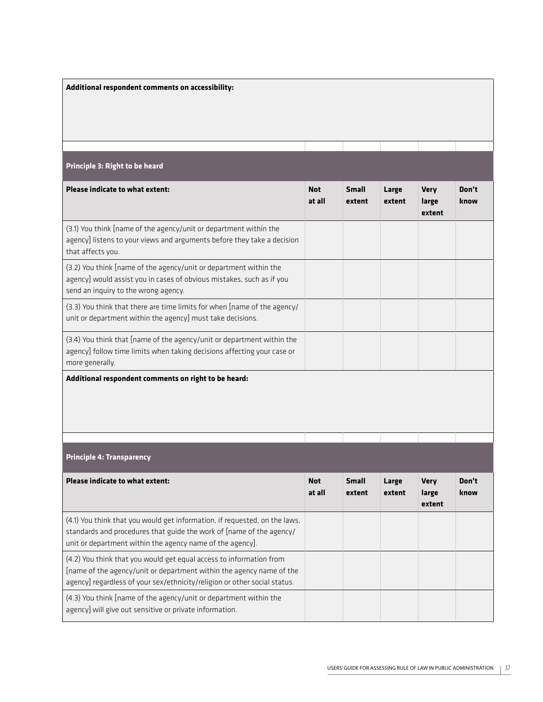**Additional respondent comments on accessibility:**

#### **Principle 3: Right to be heard**

| Please indicate to what extent:                                                                                                                                                    | <b>Not</b><br>at all | Small<br>extent | Large<br>extent | <b>Very</b><br>large<br>extent | Don't<br>know |
|------------------------------------------------------------------------------------------------------------------------------------------------------------------------------------|----------------------|-----------------|-----------------|--------------------------------|---------------|
| (3.1) You think [name of the agency/unit or department within the<br>agency] listens to your views and arguments before they take a decision<br>that affects you.                  |                      |                 |                 |                                |               |
| (3.2) You think [name of the agency/unit or department within the<br>agency] would assist you in cases of obvious mistakes, such as if you<br>send an inquiry to the wrong agency. |                      |                 |                 |                                |               |
| (3.3) You think that there are time limits for when [name of the agency/<br>unit or department within the agency] must take decisions.                                             |                      |                 |                 |                                |               |
| (3.4) You think that [name of the agency/unit or department within the<br>agency] follow time limits when taking decisions affecting your case or<br>more generally.               |                      |                 |                 |                                |               |
| Additional respondent comments on right to be heard:                                                                                                                               |                      |                 |                 |                                |               |

### **Principle 4: Transparency**

| <b>Please indicate to what extent:</b>                                                                                                                                                                                   | <b>Not</b><br>at all | <b>Small</b><br>extent | Large<br>extent | <b>Very</b><br>large<br>extent | Don't<br>know |
|--------------------------------------------------------------------------------------------------------------------------------------------------------------------------------------------------------------------------|----------------------|------------------------|-----------------|--------------------------------|---------------|
| (4.1) You think that you would get information, if requested, on the laws,<br>standards and procedures that guide the work of [name of the agency/<br>unit or department within the agency name of the agency.           |                      |                        |                 |                                |               |
| (4.2) You think that you would get equal access to information from<br>Iname of the agency/unit or department within the agency name of the<br>agency] regardless of your sex/ethnicity/religion or other social status. |                      |                        |                 |                                |               |
| (4.3) You think [name of the agency/unit or department within the<br>agency] will give out sensitive or private information.                                                                                             |                      |                        |                 |                                |               |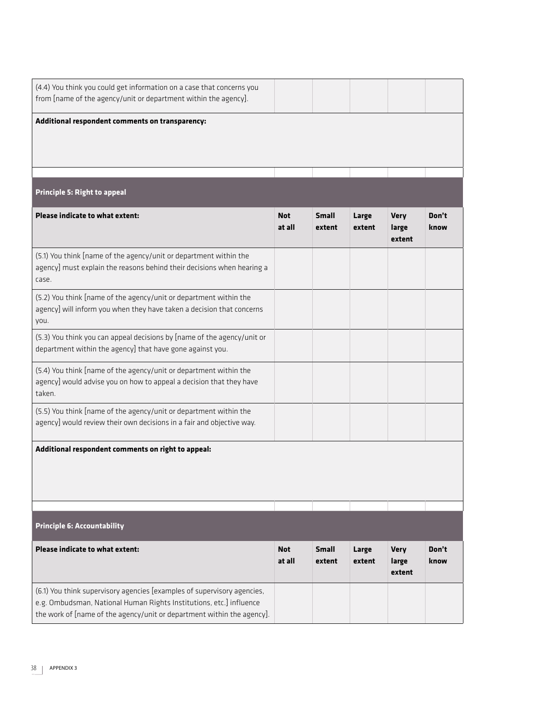| (4.4) You think you could get information on a case that concerns you<br>from [name of the agency/unit or department within the agency].                                                                                 |                      |                        |                 |                                |               |
|--------------------------------------------------------------------------------------------------------------------------------------------------------------------------------------------------------------------------|----------------------|------------------------|-----------------|--------------------------------|---------------|
| Additional respondent comments on transparency:                                                                                                                                                                          |                      |                        |                 |                                |               |
| <b>Principle 5: Right to appeal</b>                                                                                                                                                                                      |                      |                        |                 |                                |               |
| <b>Please indicate to what extent:</b>                                                                                                                                                                                   | <b>Not</b><br>at all | <b>Small</b><br>extent | Large<br>extent | <b>Very</b><br>large<br>extent | Don't<br>know |
| (5.1) You think [name of the agency/unit or department within the<br>agency] must explain the reasons behind their decisions when hearing a<br>case.                                                                     |                      |                        |                 |                                |               |
| (5.2) You think [name of the agency/unit or department within the<br>agency] will inform you when they have taken a decision that concerns<br>you.                                                                       |                      |                        |                 |                                |               |
| (5.3) You think you can appeal decisions by [name of the agency/unit or<br>department within the agency] that have gone against you.                                                                                     |                      |                        |                 |                                |               |
| (5.4) You think [name of the agency/unit or department within the<br>agency] would advise you on how to appeal a decision that they have<br>taken.                                                                       |                      |                        |                 |                                |               |
| (5.5) You think [name of the agency/unit or department within the<br>agency] would review their own decisions in a fair and objective way.                                                                               |                      |                        |                 |                                |               |
| Additional respondent comments on right to appeal:                                                                                                                                                                       |                      |                        |                 |                                |               |
|                                                                                                                                                                                                                          |                      |                        |                 |                                |               |
| <b>Principle 6: Accountability</b>                                                                                                                                                                                       |                      |                        |                 |                                |               |
| <b>Please indicate to what extent:</b>                                                                                                                                                                                   | <b>Not</b><br>at all | <b>Small</b><br>extent | Large<br>extent | <b>Very</b><br>large<br>extent | Don't<br>know |
| (6.1) You think supervisory agencies [examples of supervisory agencies,<br>e.g. Ombudsman, National Human Rights Institutions, etc.] influence<br>the work of [name of the agency/unit or department within the agency]. |                      |                        |                 |                                |               |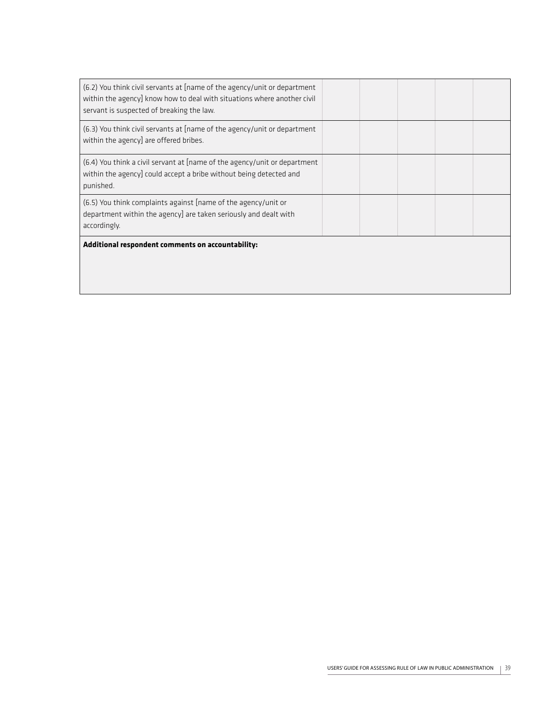| (6.2) You think civil servants at [name of the agency/unit or department<br>within the agency] know how to deal with situations where another civil<br>servant is suspected of breaking the law. |  |  |  |
|--------------------------------------------------------------------------------------------------------------------------------------------------------------------------------------------------|--|--|--|
| $(6.3)$ You think civil servants at [name of the agency/unit or department<br>within the agency] are offered bribes.                                                                             |  |  |  |
| $(6.4)$ You think a civil servant at [name of the agency/unit or department<br>within the agency] could accept a bribe without being detected and<br>punished.                                   |  |  |  |
| (6.5) You think complaints against [name of the agency/unit or<br>department within the agency] are taken seriously and dealt with<br>accordingly.                                               |  |  |  |
| Additional respondent comments on accountability:                                                                                                                                                |  |  |  |

 $\perp$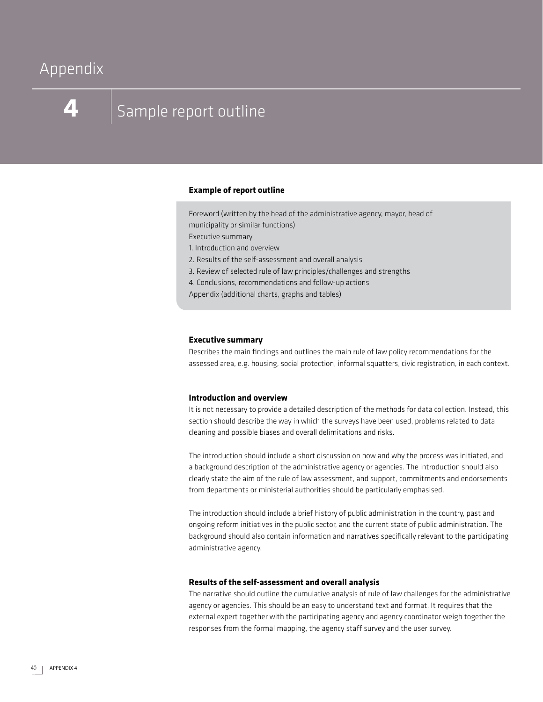**4**

### Sample report outline

#### **Example of report outline**

Foreword (written by the head of the administrative agency, mayor, head of municipality or similar functions) Executive summary 1. Introduction and overview 2. Results of the self-assessment and overall analysis 3. Review of selected rule of law principles/challenges and strengths

4. Conclusions, recommendations and follow-up actions

Appendix (additional charts, graphs and tables)

#### **Executive summary**

Describes the main findings and outlines the main rule of law policy recommendations for the assessed area, e.g. housing, social protection, informal squatters, civic registration, in each context.

#### **Introduction and overview**

It is not necessary to provide a detailed description of the methods for data collection. Instead, this section should describe the way in which the surveys have been used, problems related to data cleaning and possible biases and overall delimitations and risks.

The introduction should include a short discussion on how and why the process was initiated, and a background description of the administrative agency or agencies. The introduction should also clearly state the aim of the rule of law assessment, and support, commitments and endorsements from departments or ministerial authorities should be particularly emphasised.

The introduction should include a brief history of public administration in the country, past and ongoing reform initiatives in the public sector, and the current state of public administration. The background should also contain information and narratives specifically relevant to the participating administrative agency.

#### **Results of the self-assessment and overall analysis**

The narrative should outline the cumulative analysis of rule of law challenges for the administrative agency or agencies. This should be an easy to understand text and format. It requires that the external expert together with the participating agency and agency coordinator weigh together the responses from the formal mapping, the agency staff survey and the user survey.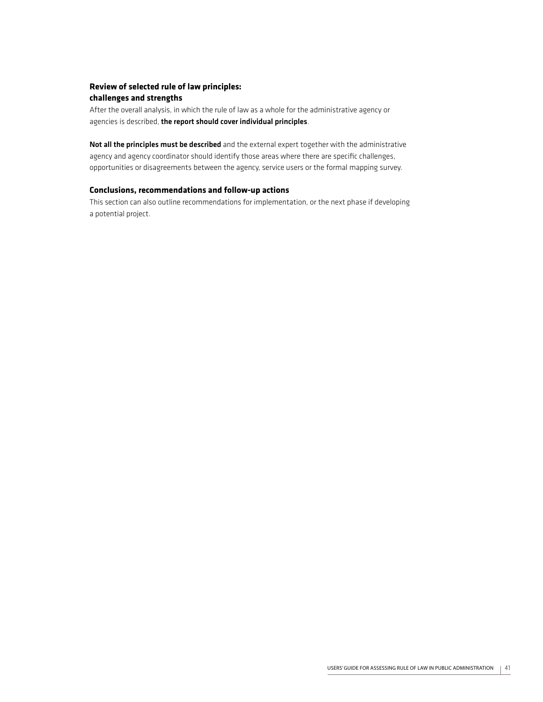#### **Review of selected rule of law principles: challenges and strengths**

After the overall analysis, in which the rule of law as a whole for the administrative agency or agencies is described, the report should cover individual principles.

Not all the principles must be described and the external expert together with the administrative agency and agency coordinator should identify those areas where there are specific challenges, opportunities or disagreements between the agency, service users or the formal mapping survey.

#### **Conclusions, recommendations and follow-up actions**

This section can also outline recommendations for implementation, or the next phase if developing a potential project.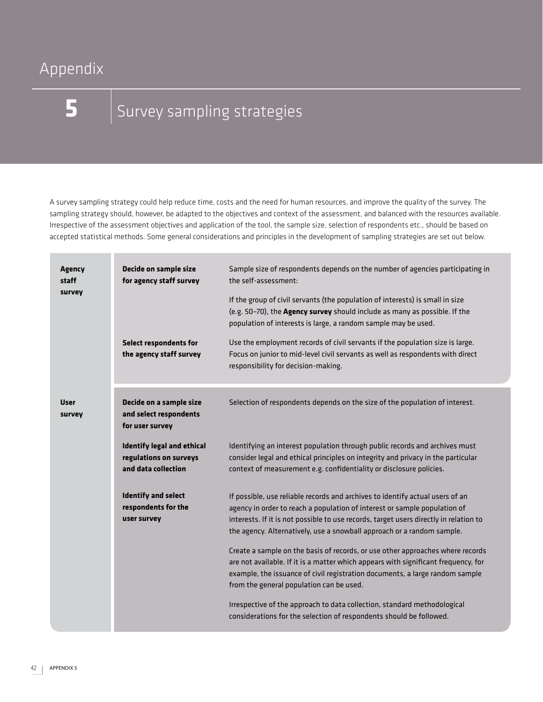**5**

# Survey sampling strategies

A survey sampling strategy could help reduce time, costs and the need for human resources, and improve the quality of the survey. The sampling strategy should, however, be adapted to the objectives and context of the assessment, and balanced with the resources available. Irrespective of the assessment objectives and application of the tool, the sample size, selection of respondents etc., should be based on accepted statistical methods. Some general considerations and principles in the development of sampling strategies are set out below.

| <b>Agency</b><br>staff<br>survey | <b>Decide on sample size</b><br>for agency staff survey<br><b>Select respondents for</b><br>the agency staff survey | Sample size of respondents depends on the number of agencies participating in<br>the self-assessment:<br>If the group of civil servants (the population of interests) is small in size<br>(e.g. 50-70), the Agency survey should include as many as possible. If the<br>population of interests is large, a random sample may be used.<br>Use the employment records of civil servants if the population size is large.<br>Focus on junior to mid-level civil servants as well as respondents with direct |  |  |  |  |
|----------------------------------|---------------------------------------------------------------------------------------------------------------------|-----------------------------------------------------------------------------------------------------------------------------------------------------------------------------------------------------------------------------------------------------------------------------------------------------------------------------------------------------------------------------------------------------------------------------------------------------------------------------------------------------------|--|--|--|--|
|                                  |                                                                                                                     | responsibility for decision-making.                                                                                                                                                                                                                                                                                                                                                                                                                                                                       |  |  |  |  |
| <b>User</b><br>survey            | Decide on a sample size<br>and select respondents<br>for user survey                                                | Selection of respondents depends on the size of the population of interest.                                                                                                                                                                                                                                                                                                                                                                                                                               |  |  |  |  |
|                                  | <b>Identify legal and ethical</b><br>regulations on surveys<br>and data collection                                  | Identifying an interest population through public records and archives must<br>consider legal and ethical principles on integrity and privacy in the particular<br>context of measurement e.g. confidentiality or disclosure policies.                                                                                                                                                                                                                                                                    |  |  |  |  |
|                                  | <b>Identify and select</b><br>respondents for the<br>user survey                                                    | If possible, use reliable records and archives to identify actual users of an<br>agency in order to reach a population of interest or sample population of<br>interests. If it is not possible to use records, target users directly in relation to<br>the agency. Alternatively, use a snowball approach or a random sample.                                                                                                                                                                             |  |  |  |  |
|                                  |                                                                                                                     | Create a sample on the basis of records, or use other approaches where records<br>are not available. If it is a matter which appears with significant frequency, for<br>example, the issuance of civil registration documents, a large random sample<br>from the general population can be used.                                                                                                                                                                                                          |  |  |  |  |
|                                  |                                                                                                                     | Irrespective of the approach to data collection, standard methodological<br>considerations for the selection of respondents should be followed.                                                                                                                                                                                                                                                                                                                                                           |  |  |  |  |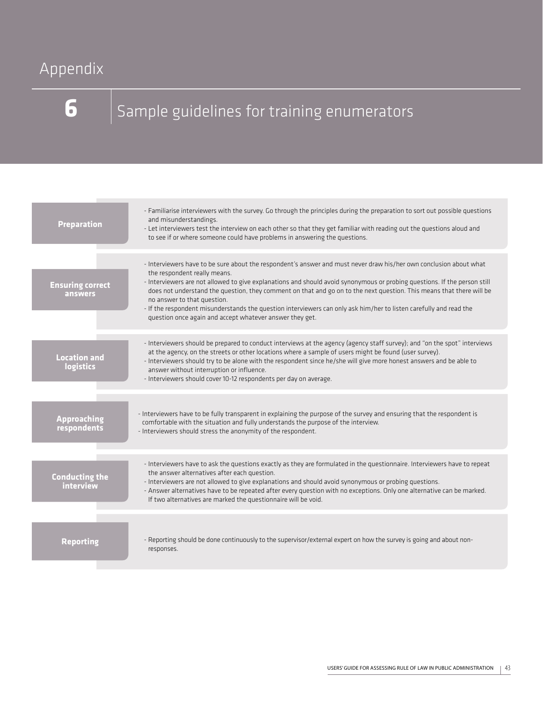**6**

# Sample guidelines for training enumerators

| <b>Preparation</b>                        | - Familiarise interviewers with the survey. Go through the principles during the preparation to sort out possible questions<br>and misunderstandings.<br>- Let interviewers test the interview on each other so that they get familiar with reading out the questions aloud and<br>to see if or where someone could have problems in answering the questions.                                                                                                                                                                                                                                                            |
|-------------------------------------------|--------------------------------------------------------------------------------------------------------------------------------------------------------------------------------------------------------------------------------------------------------------------------------------------------------------------------------------------------------------------------------------------------------------------------------------------------------------------------------------------------------------------------------------------------------------------------------------------------------------------------|
| <b>Ensuring correct</b><br>answers        | - Interviewers have to be sure about the respondent's answer and must never draw his/her own conclusion about what<br>the respondent really means.<br>- Interviewers are not allowed to give explanations and should avoid synonymous or probing questions. If the person still<br>does not understand the question, they comment on that and go on to the next question. This means that there will be<br>no answer to that question.<br>- If the respondent misunderstands the question interviewers can only ask him/her to listen carefully and read the<br>question once again and accept whatever answer they get. |
| <b>Location</b> and<br><b>logistics</b>   | - Interviewers should be prepared to conduct interviews at the agency (agency staff survey); and "on the spot" interviews<br>at the agency, on the streets or other locations where a sample of users might be found (user survey).<br>- Interviewers should try to be alone with the respondent since he/she will give more honest answers and be able to<br>answer without interruption or influence.<br>- Interviewers should cover 10-12 respondents per day on average.                                                                                                                                             |
| <b>Approaching</b><br>respondents         | - Interviewers have to be fully transparent in explaining the purpose of the survey and ensuring that the respondent is<br>comfortable with the situation and fully understands the purpose of the interview.<br>- Interviewers should stress the anonymity of the respondent.                                                                                                                                                                                                                                                                                                                                           |
| <b>Conducting the</b><br><b>interview</b> | - Interviewers have to ask the questions exactly as they are formulated in the questionnaire. Interviewers have to repeat<br>the answer alternatives after each question.<br>- Interviewers are not allowed to give explanations and should avoid synonymous or probing questions.<br>- Answer alternatives have to be repeated after every question with no exceptions. Only one alternative can be marked.<br>If two alternatives are marked the questionnaire will be void.                                                                                                                                           |
| <b>Reporting</b>                          | - Reporting should be done continuously to the supervisor/external expert on how the survey is going and about non-<br>responses.                                                                                                                                                                                                                                                                                                                                                                                                                                                                                        |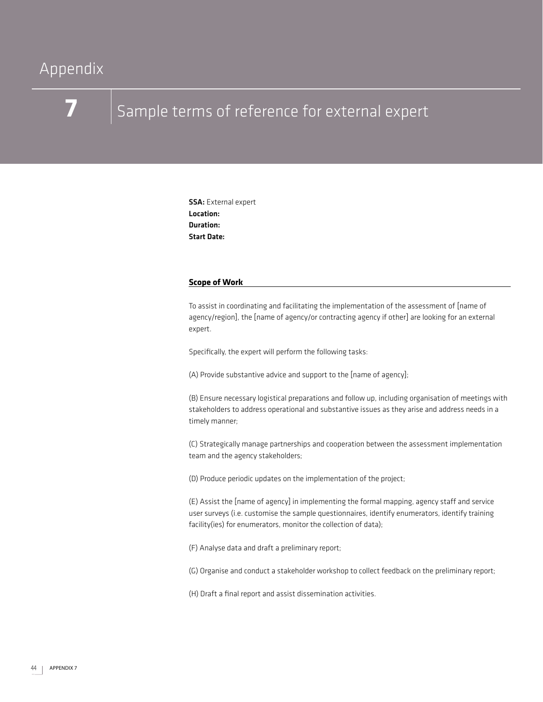**7**

### Sample terms of reference for external expert

SSA: External expert Location: Duration: Start Date:

#### **Scope of Work**

To assist in coordinating and facilitating the implementation of the assessment of [name of agency/region], the [name of agency/or contracting agency if other] are looking for an external expert.

Specifically, the expert will perform the following tasks:

(A) Provide substantive advice and support to the [name of agency];

(B) Ensure necessary logistical preparations and follow up, including organisation of meetings with stakeholders to address operational and substantive issues as they arise and address needs in a timely manner;

(C) Strategically manage partnerships and cooperation between the assessment implementation team and the agency stakeholders;

(D) Produce periodic updates on the implementation of the project;

(E) Assist the [name of agency] in implementing the formal mapping, agency staff and service user surveys (i.e. customise the sample questionnaires, identify enumerators, identify training facility(ies) for enumerators, monitor the collection of data);

(F) Analyse data and draft a preliminary report;

(G) Organise and conduct a stakeholder workshop to collect feedback on the preliminary report;

(H) Draft a final report and assist dissemination activities.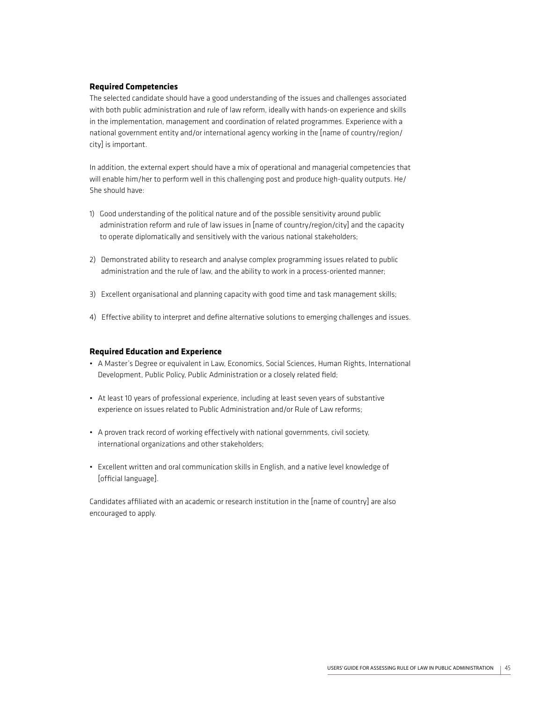#### **Required Competencies**

The selected candidate should have a good understanding of the issues and challenges associated with both public administration and rule of law reform, ideally with hands-on experience and skills in the implementation, management and coordination of related programmes. Experience with a national government entity and/or international agency working in the [name of country/region/ city] is important.

In addition, the external expert should have a mix of operational and managerial competencies that will enable him/her to perform well in this challenging post and produce high-quality outputs. He/ She should have:

- 1) Good understanding of the political nature and of the possible sensitivity around public administration reform and rule of law issues in [name of country/region/city] and the capacity to operate diplomatically and sensitively with the various national stakeholders;
- 2) Demonstrated ability to research and analyse complex programming issues related to public administration and the rule of law, and the ability to work in a process-oriented manner;
- 3) Excellent organisational and planning capacity with good time and task management skills;
- 4) Effective ability to interpret and define alternative solutions to emerging challenges and issues.

#### **Required Education and Experience**

- A Master's Degree or equivalent in Law, Economics, Social Sciences, Human Rights, International Development, Public Policy, Public Administration or a closely related field;
- At least 10 years of professional experience, including at least seven years of substantive experience on issues related to Public Administration and/or Rule of Law reforms;
- A proven track record of working effectively with national governments, civil society, international organizations and other stakeholders;
- Excellent written and oral communication skills in English, and a native level knowledge of [official language].

Candidates affiliated with an academic or research institution in the [name of country] are also encouraged to apply.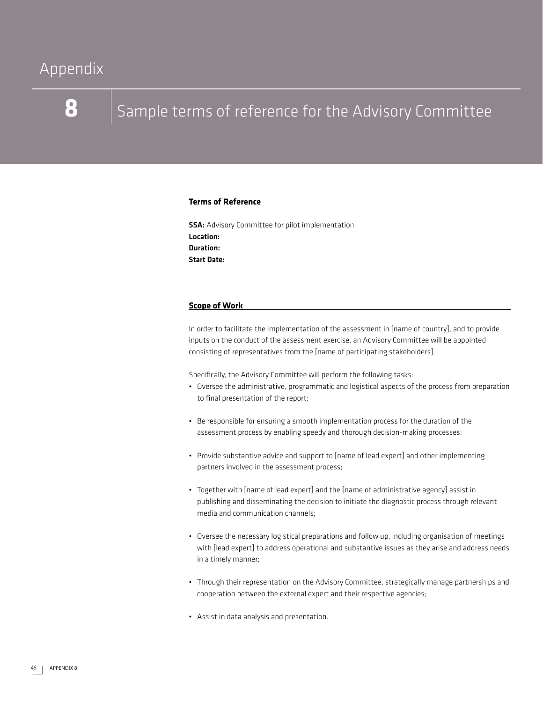**8**

## Sample terms of reference for the Advisory Committee

#### **Terms of Reference**

**SSA:** Advisory Committee for pilot implementation Location: Duration: Start Date:

#### **Scope of Work**

In order to facilitate the implementation of the assessment in [name of country], and to provide inputs on the conduct of the assessment exercise, an Advisory Committee will be appointed consisting of representatives from the [name of participating stakeholders].

Specifically, the Advisory Committee will perform the following tasks:

- Oversee the administrative, programmatic and logistical aspects of the process from preparation to final presentation of the report;
- Be responsible for ensuring a smooth implementation process for the duration of the assessment process by enabling speedy and thorough decision-making processes;
- Provide substantive advice and support to [name of lead expert] and other implementing partners involved in the assessment process;
- Together with [name of lead expert] and the [name of administrative agency] assist in publishing and disseminating the decision to initiate the diagnostic process through relevant media and communication channels;
- Oversee the necessary logistical preparations and follow up, including organisation of meetings with [lead expert] to address operational and substantive issues as they arise and address needs in a timely manner;
- Through their representation on the Advisory Committee, strategically manage partnerships and cooperation between the external expert and their respective agencies;
- Assist in data analysis and presentation.